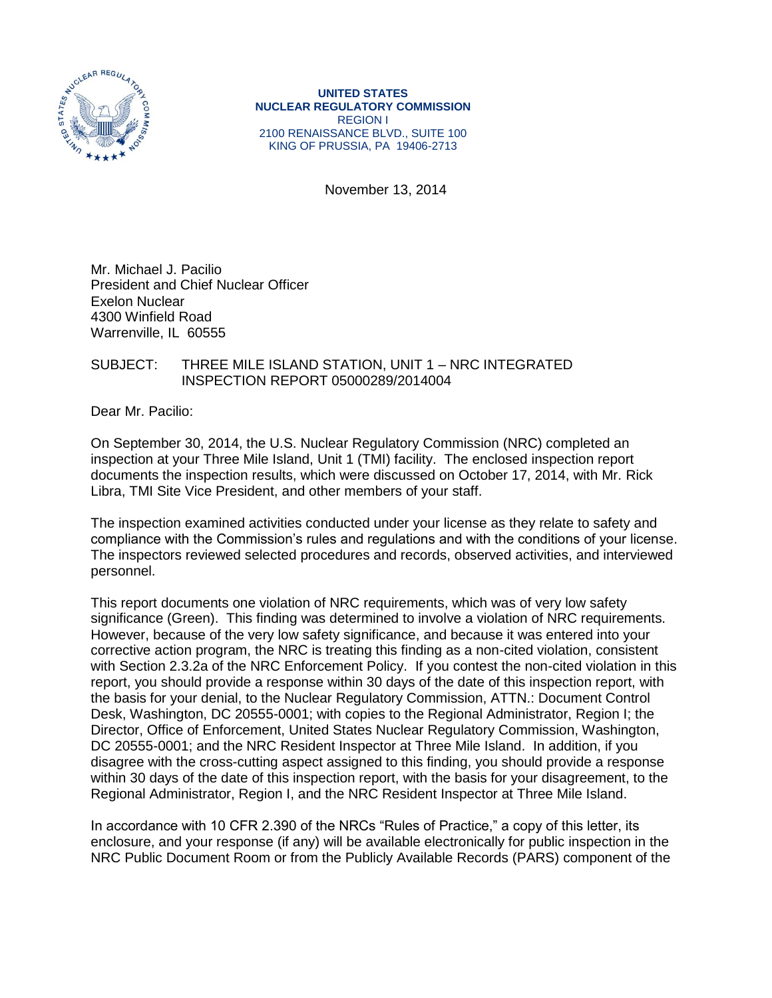

**UNITED STATES NUCLEAR REGULATORY COMMISSION** REGION I 2100 RENAISSANCE BLVD., SUITE 100 KING OF PRUSSIA, PA 19406-2713

November 13, 2014

Mr. Michael J. Pacilio President and Chief Nuclear Officer Exelon Nuclear 4300 Winfield Road Warrenville, IL 60555

## SUBJECT: THREE MILE ISLAND STATION, UNIT 1 – NRC INTEGRATED INSPECTION REPORT 05000289/2014004

Dear Mr. Pacilio:

On September 30, 2014, the U.S. Nuclear Regulatory Commission (NRC) completed an inspection at your Three Mile Island, Unit 1 (TMI) facility. The enclosed inspection report documents the inspection results, which were discussed on October 17, 2014, with Mr. Rick Libra, TMI Site Vice President, and other members of your staff.

The inspection examined activities conducted under your license as they relate to safety and compliance with the Commission's rules and regulations and with the conditions of your license. The inspectors reviewed selected procedures and records, observed activities, and interviewed personnel.

This report documents one violation of NRC requirements, which was of very low safety significance (Green). This finding was determined to involve a violation of NRC requirements. However, because of the very low safety significance, and because it was entered into your corrective action program, the NRC is treating this finding as a non-cited violation, consistent with Section 2.3.2a of the NRC Enforcement Policy. If you contest the non-cited violation in this report, you should provide a response within 30 days of the date of this inspection report, with the basis for your denial, to the Nuclear Regulatory Commission, ATTN.: Document Control Desk, Washington, DC 20555-0001; with copies to the Regional Administrator, Region I; the Director, Office of Enforcement, United States Nuclear Regulatory Commission, Washington, DC 20555-0001; and the NRC Resident Inspector at Three Mile Island. In addition, if you disagree with the cross-cutting aspect assigned to this finding, you should provide a response within 30 days of the date of this inspection report, with the basis for your disagreement, to the Regional Administrator, Region I, and the NRC Resident Inspector at Three Mile Island.

In accordance with 10 CFR 2.390 of the NRCs "Rules of Practice," a copy of this letter, its enclosure, and your response (if any) will be available electronically for public inspection in the NRC Public Document Room or from the Publicly Available Records (PARS) component of the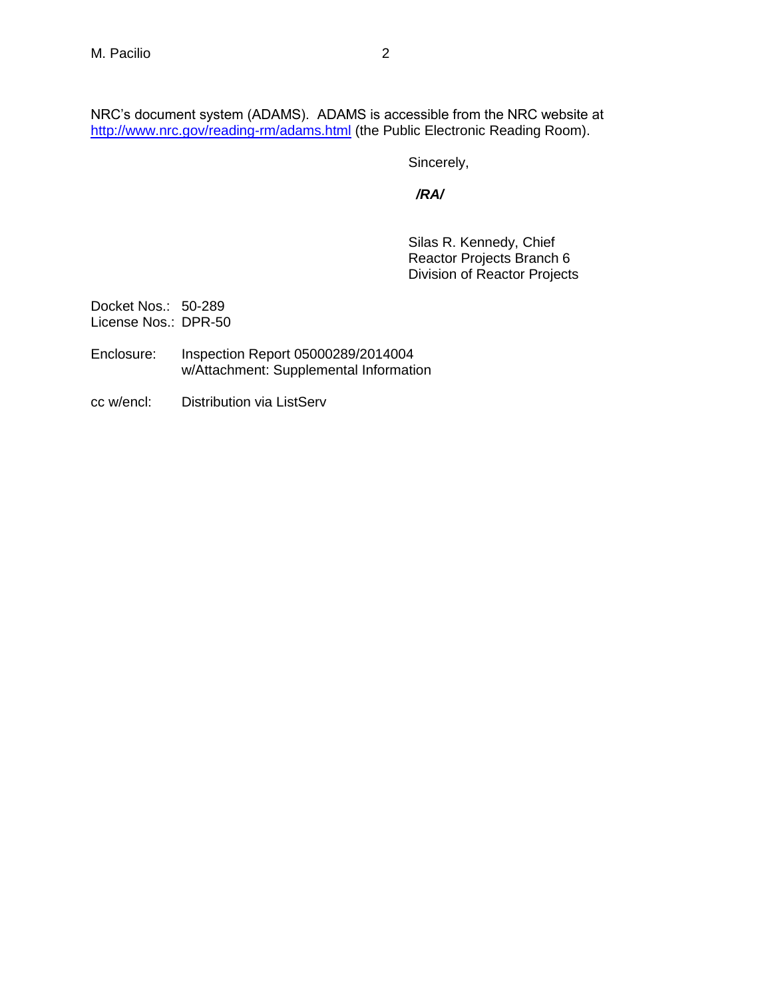NRC's document system (ADAMS). ADAMS is accessible from the NRC website at <http://www.nrc.gov/reading-rm/adams.html> (the Public Electronic Reading Room).

Sincerely,

 */RA/*

Silas R. Kennedy, Chief Reactor Projects Branch 6 Division of Reactor Projects

Docket Nos.: 50-289 License Nos.: DPR-50

- Enclosure: Inspection Report 05000289/2014004 w/Attachment: Supplemental Information
- cc w/encl: Distribution via ListServ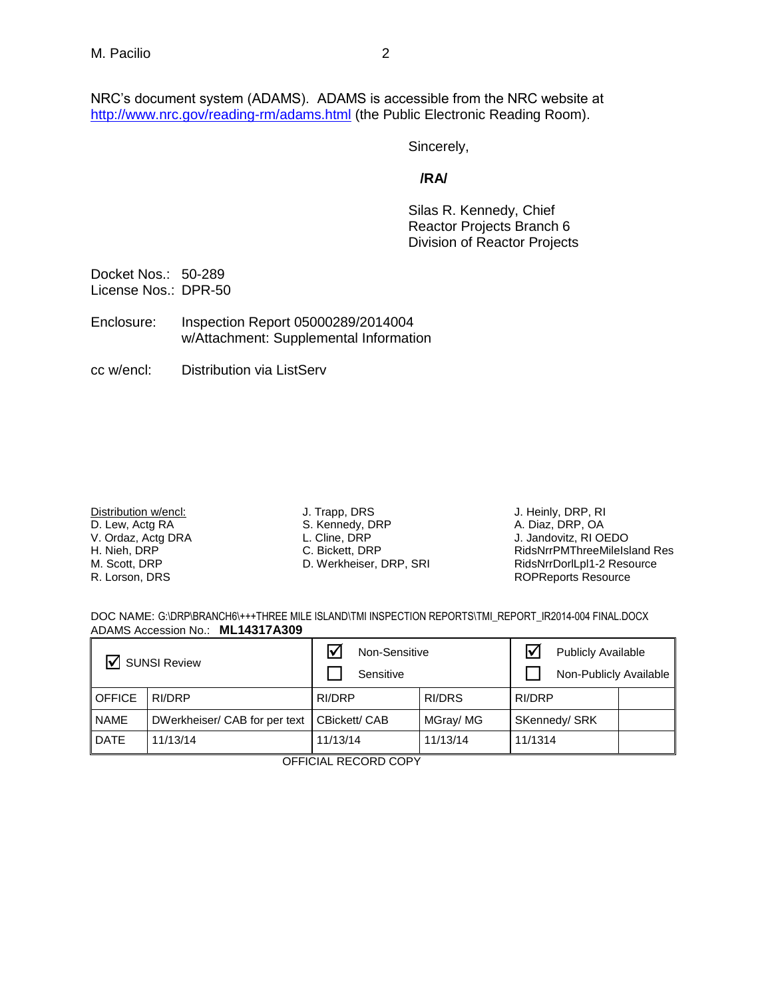NRC's document system (ADAMS). ADAMS is accessible from the NRC website at <http://www.nrc.gov/reading-rm/adams.html> (the Public Electronic Reading Room).

Sincerely,

## **/RA/**

Silas R. Kennedy, Chief Reactor Projects Branch 6 Division of Reactor Projects

Docket Nos.: 50-289 License Nos.: DPR-50

Enclosure: Inspection Report 05000289/2014004 w/Attachment: Supplemental Information

cc w/encl: Distribution via ListServ

Distribution w/encl: D. Lew, Actg RA V. Ordaz, Actg DRA H. Nieh, DRP M. Scott, DRP R. Lorson, DRS

J. Trapp, DRS S. Kennedy, DRP

L. Cline, DRP C. Bickett, DRP

D. Werkheiser, DRP, SRI

J. Heinly, DRP, RI A. Diaz, DRP, OA J. Jandovitz, RI OEDO RidsNrrPMThreeMileIsland Res RidsNrrDorlLpl1-2 Resource ROPReports Resource

DOC NAME: G:\DRP\BRANCH6\+++THREE MILE ISLAND\TMI INSPECTION REPORTS\TMI\_REPORT\_IR2014-004 FINAL.DOCX ADAMS Accession No.: **ML14317A309** 

| $\triangledown$ SUNSI Review |                               | Non-Sensitive |          | $\overline{\mathsf{v}}$<br><b>Publicly Available</b> |  |
|------------------------------|-------------------------------|---------------|----------|------------------------------------------------------|--|
|                              |                               | Sensitive     |          | Non-Publicly Available                               |  |
| <b>OFFICE</b>                | RI/DRP                        | RI/DRP        | RI/DRS   | RI/DRP                                               |  |
| <b>NAME</b>                  | DWerkheiser/ CAB for per text | CBickett/ CAB | MGray/MG | SKennedy/ SRK                                        |  |
| <b>DATE</b>                  | 11/13/14                      | 11/13/14      | 11/13/14 | 11/1314                                              |  |

OFFICIAL RECORD COPY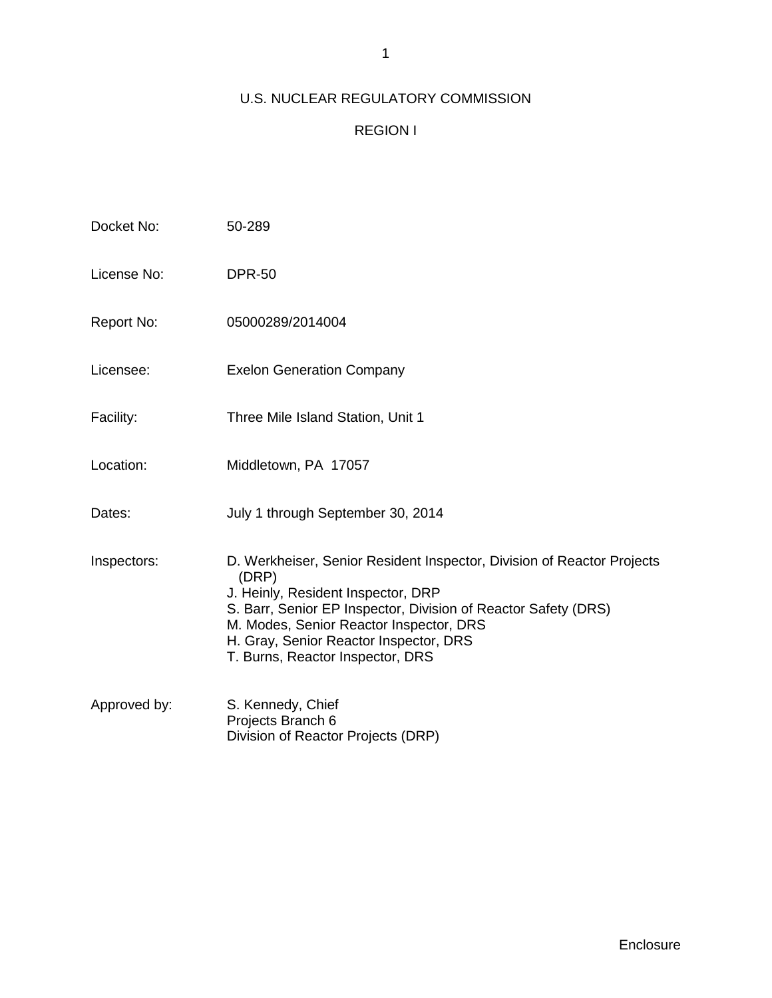# U.S. NUCLEAR REGULATORY COMMISSION

# REGION I

| Docket No:   | 50-289                                                                                                                                                                                                                                                                                                           |
|--------------|------------------------------------------------------------------------------------------------------------------------------------------------------------------------------------------------------------------------------------------------------------------------------------------------------------------|
| License No:  | <b>DPR-50</b>                                                                                                                                                                                                                                                                                                    |
| Report No:   | 05000289/2014004                                                                                                                                                                                                                                                                                                 |
| Licensee:    | <b>Exelon Generation Company</b>                                                                                                                                                                                                                                                                                 |
| Facility:    | Three Mile Island Station, Unit 1                                                                                                                                                                                                                                                                                |
| Location:    | Middletown, PA 17057                                                                                                                                                                                                                                                                                             |
| Dates:       | July 1 through September 30, 2014                                                                                                                                                                                                                                                                                |
| Inspectors:  | D. Werkheiser, Senior Resident Inspector, Division of Reactor Projects<br>(DRP)<br>J. Heinly, Resident Inspector, DRP<br>S. Barr, Senior EP Inspector, Division of Reactor Safety (DRS)<br>M. Modes, Senior Reactor Inspector, DRS<br>H. Gray, Senior Reactor Inspector, DRS<br>T. Burns, Reactor Inspector, DRS |
| Approved by: | S. Kennedy, Chief<br>Projects Branch 6<br>Division of Reactor Projects (DRP)                                                                                                                                                                                                                                     |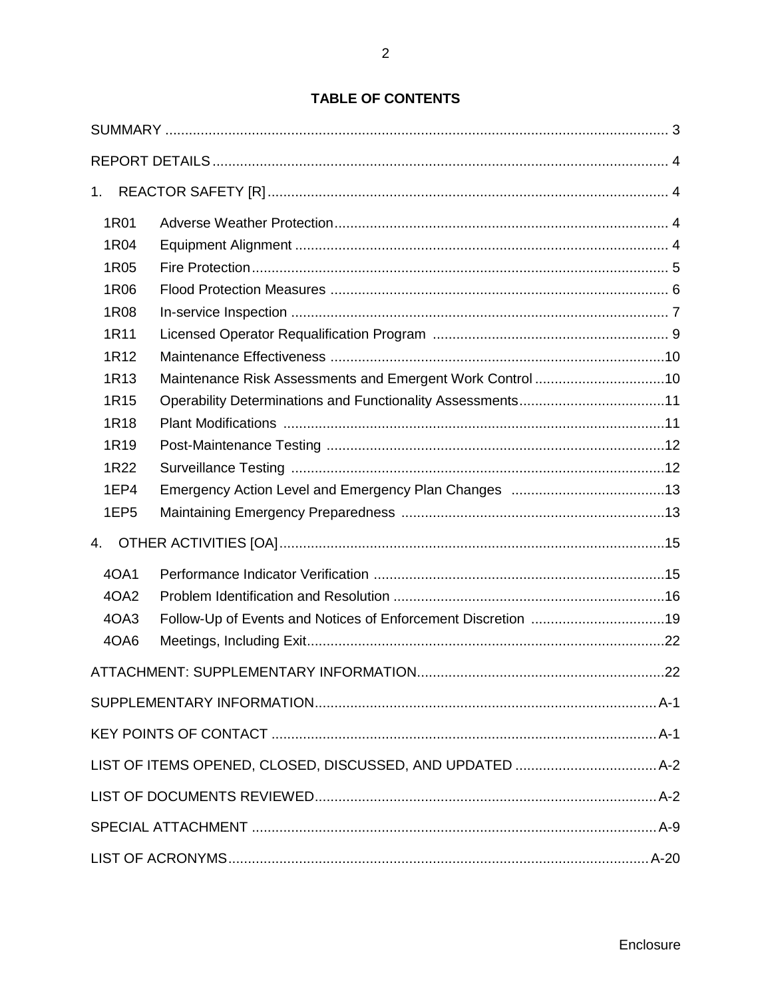# **TABLE OF CONTENTS**

| 1.               |                                                              |  |  |  |  |  |  |
|------------------|--------------------------------------------------------------|--|--|--|--|--|--|
| 1R01             |                                                              |  |  |  |  |  |  |
| 1R04             |                                                              |  |  |  |  |  |  |
| 1R05             |                                                              |  |  |  |  |  |  |
| 1R06             |                                                              |  |  |  |  |  |  |
| 1R08             |                                                              |  |  |  |  |  |  |
| 1R11             |                                                              |  |  |  |  |  |  |
| 1R <sub>12</sub> |                                                              |  |  |  |  |  |  |
| 1R13             | Maintenance Risk Assessments and Emergent Work Control 10    |  |  |  |  |  |  |
| 1R15             |                                                              |  |  |  |  |  |  |
| 1R18             |                                                              |  |  |  |  |  |  |
| 1R <sub>19</sub> |                                                              |  |  |  |  |  |  |
| 1R22             |                                                              |  |  |  |  |  |  |
| 1EP4             |                                                              |  |  |  |  |  |  |
| 1EP <sub>5</sub> |                                                              |  |  |  |  |  |  |
| 4.               |                                                              |  |  |  |  |  |  |
| 40A1             |                                                              |  |  |  |  |  |  |
| 4OA2             |                                                              |  |  |  |  |  |  |
| 4OA3             | Follow-Up of Events and Notices of Enforcement Discretion 19 |  |  |  |  |  |  |
| 4OA6             |                                                              |  |  |  |  |  |  |
|                  |                                                              |  |  |  |  |  |  |
|                  |                                                              |  |  |  |  |  |  |
|                  |                                                              |  |  |  |  |  |  |
|                  |                                                              |  |  |  |  |  |  |
|                  |                                                              |  |  |  |  |  |  |
|                  |                                                              |  |  |  |  |  |  |
|                  |                                                              |  |  |  |  |  |  |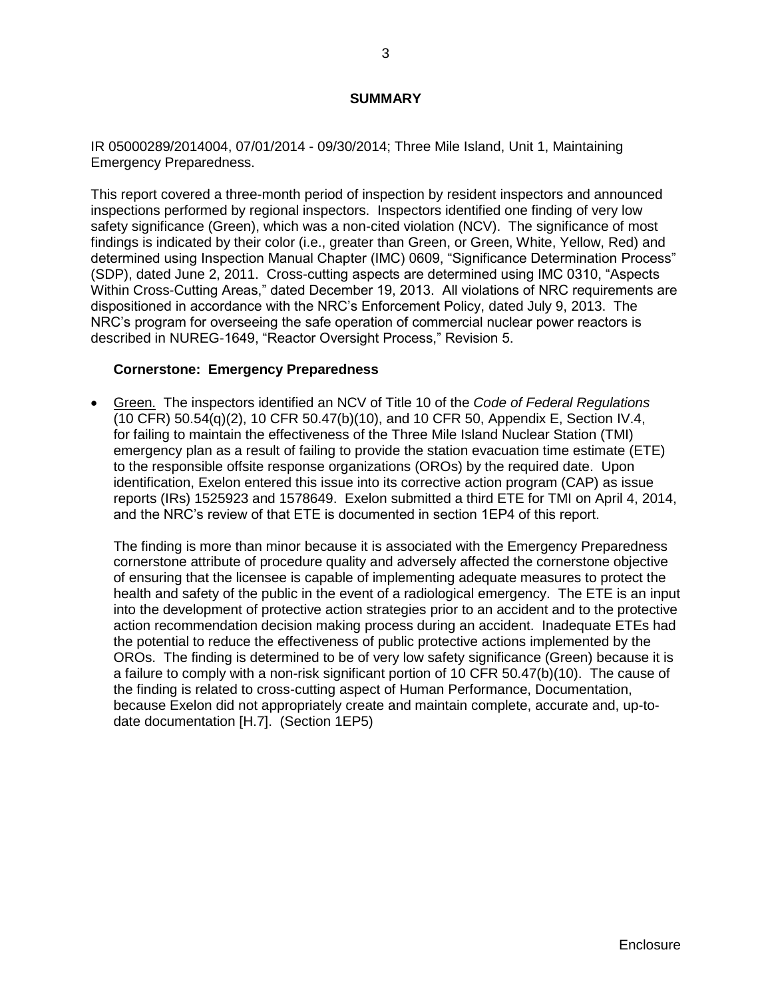### **SUMMARY**

<span id="page-5-0"></span>IR 05000289/2014004, 07/01/2014 - 09/30/2014; Three Mile Island, Unit 1, Maintaining Emergency Preparedness.

This report covered a three-month period of inspection by resident inspectors and announced inspections performed by regional inspectors. Inspectors identified one finding of very low safety significance (Green), which was a non-cited violation (NCV). The significance of most findings is indicated by their color (i.e., greater than Green, or Green, White, Yellow, Red) and determined using Inspection Manual Chapter (IMC) 0609, "Significance Determination Process" (SDP), dated June 2, 2011. Cross-cutting aspects are determined using IMC 0310, "Aspects Within Cross-Cutting Areas," dated December 19, 2013. All violations of NRC requirements are dispositioned in accordance with the NRC's Enforcement Policy, dated July 9, 2013. The NRC's program for overseeing the safe operation of commercial nuclear power reactors is described in NUREG-1649, "Reactor Oversight Process," Revision 5.

### **Cornerstone: Emergency Preparedness**

 Green. The inspectors identified an NCV of Title 10 of the *Code of Federal Regulations* (10 CFR) 50.54(q)(2), 10 CFR 50.47(b)(10), and 10 CFR 50, Appendix E, Section IV.4, for failing to maintain the effectiveness of the Three Mile Island Nuclear Station (TMI) emergency plan as a result of failing to provide the station evacuation time estimate (ETE) to the responsible offsite response organizations (OROs) by the required date. Upon identification, Exelon entered this issue into its corrective action program (CAP) as issue reports (IRs) 1525923 and 1578649. Exelon submitted a third ETE for TMI on April 4, 2014, and the NRC's review of that ETE is documented in section 1EP4 of this report.

The finding is more than minor because it is associated with the Emergency Preparedness cornerstone attribute of procedure quality and adversely affected the cornerstone objective of ensuring that the licensee is capable of implementing adequate measures to protect the health and safety of the public in the event of a radiological emergency. The ETE is an input into the development of protective action strategies prior to an accident and to the protective action recommendation decision making process during an accident. Inadequate ETEs had the potential to reduce the effectiveness of public protective actions implemented by the OROs. The finding is determined to be of very low safety significance (Green) because it is a failure to comply with a non-risk significant portion of 10 CFR 50.47(b)(10). The cause of the finding is related to cross-cutting aspect of Human Performance, Documentation, because Exelon did not appropriately create and maintain complete, accurate and, up-todate documentation [H.7]. (Section 1EP5)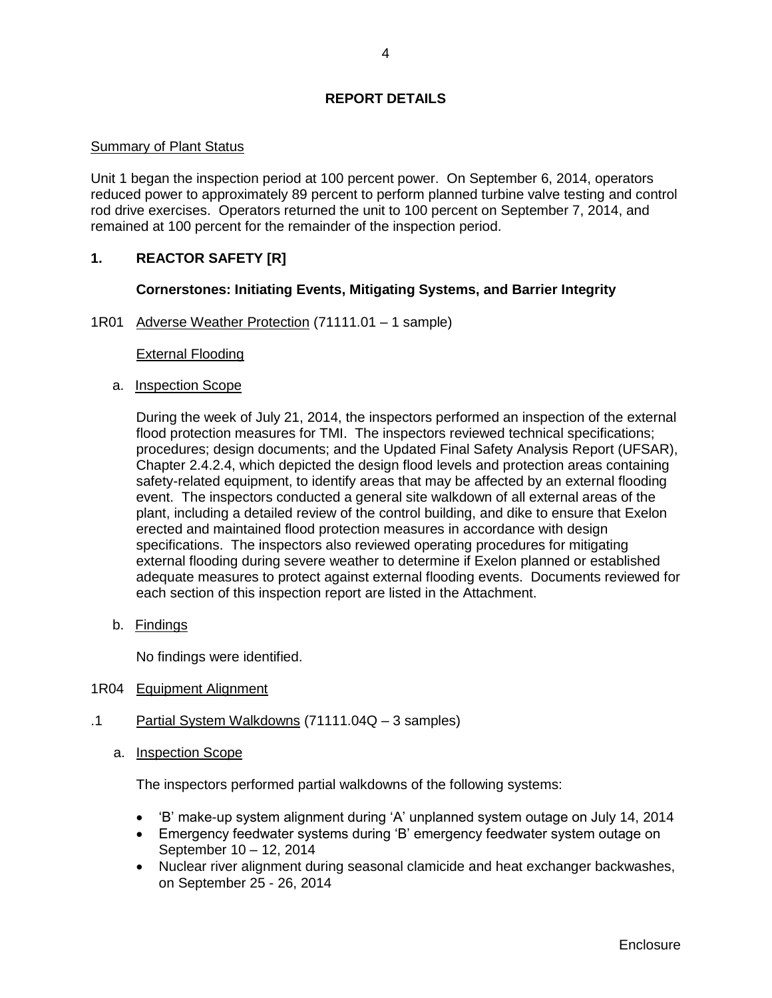## **REPORT DETAILS**

### <span id="page-6-0"></span>Summary of Plant Status

Unit 1 began the inspection period at 100 percent power. On September 6, 2014, operators reduced power to approximately 89 percent to perform planned turbine valve testing and control rod drive exercises. Operators returned the unit to 100 percent on September 7, 2014, and remained at 100 percent for the remainder of the inspection period.

## <span id="page-6-1"></span>**1. REACTOR SAFETY [R]**

## **Cornerstones: Initiating Events, Mitigating Systems, and Barrier Integrity**

<span id="page-6-2"></span>1R01 Adverse Weather Protection (71111.01 – 1 sample)

### External Flooding

a. Inspection Scope

During the week of July 21, 2014, the inspectors performed an inspection of the external flood protection measures for TMI. The inspectors reviewed technical specifications; procedures; design documents; and the Updated Final Safety Analysis Report (UFSAR), Chapter 2.4.2.4, which depicted the design flood levels and protection areas containing safety-related equipment, to identify areas that may be affected by an external flooding event. The inspectors conducted a general site walkdown of all external areas of the plant, including a detailed review of the control building, and dike to ensure that Exelon erected and maintained flood protection measures in accordance with design specifications. The inspectors also reviewed operating procedures for mitigating external flooding during severe weather to determine if Exelon planned or established adequate measures to protect against external flooding events. Documents reviewed for each section of this inspection report are listed in the Attachment.

b. Findings

No findings were identified.

- <span id="page-6-3"></span>1R04 Equipment Alignment
- .1 Partial System Walkdowns (71111.04Q 3 samples)
	- a. Inspection Scope

The inspectors performed partial walkdowns of the following systems:

- 'B' make-up system alignment during 'A' unplanned system outage on July 14, 2014
- Emergency feedwater systems during 'B' emergency feedwater system outage on September 10 – 12, 2014
- Nuclear river alignment during seasonal clamicide and heat exchanger backwashes, on September 25 - 26, 2014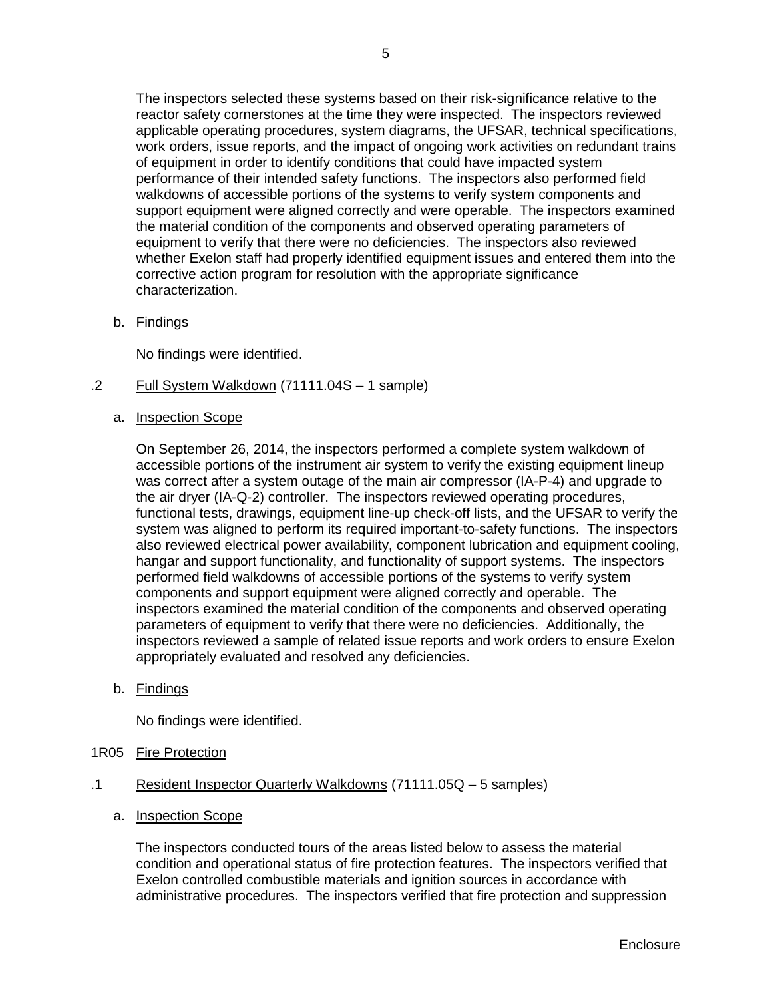The inspectors selected these systems based on their risk-significance relative to the reactor safety cornerstones at the time they were inspected. The inspectors reviewed applicable operating procedures, system diagrams, the UFSAR, technical specifications, work orders, issue reports, and the impact of ongoing work activities on redundant trains of equipment in order to identify conditions that could have impacted system performance of their intended safety functions. The inspectors also performed field walkdowns of accessible portions of the systems to verify system components and support equipment were aligned correctly and were operable. The inspectors examined the material condition of the components and observed operating parameters of equipment to verify that there were no deficiencies. The inspectors also reviewed whether Exelon staff had properly identified equipment issues and entered them into the corrective action program for resolution with the appropriate significance characterization.

b. Findings

No findings were identified.

- .2 Full System Walkdown (71111.04S 1 sample)
	- a. Inspection Scope

On September 26, 2014, the inspectors performed a complete system walkdown of accessible portions of the instrument air system to verify the existing equipment lineup was correct after a system outage of the main air compressor (IA-P-4) and upgrade to the air dryer (IA-Q-2) controller. The inspectors reviewed operating procedures, functional tests, drawings, equipment line-up check-off lists, and the UFSAR to verify the system was aligned to perform its required important-to-safety functions. The inspectors also reviewed electrical power availability, component lubrication and equipment cooling, hangar and support functionality, and functionality of support systems. The inspectors performed field walkdowns of accessible portions of the systems to verify system components and support equipment were aligned correctly and operable. The inspectors examined the material condition of the components and observed operating parameters of equipment to verify that there were no deficiencies. Additionally, the inspectors reviewed a sample of related issue reports and work orders to ensure Exelon appropriately evaluated and resolved any deficiencies.

b. Findings

No findings were identified.

- <span id="page-7-0"></span>1R05 Fire Protection
- .1 Resident Inspector Quarterly Walkdowns (71111.05Q 5 samples)
	- a. Inspection Scope

The inspectors conducted tours of the areas listed below to assess the material condition and operational status of fire protection features. The inspectors verified that Exelon controlled combustible materials and ignition sources in accordance with administrative procedures. The inspectors verified that fire protection and suppression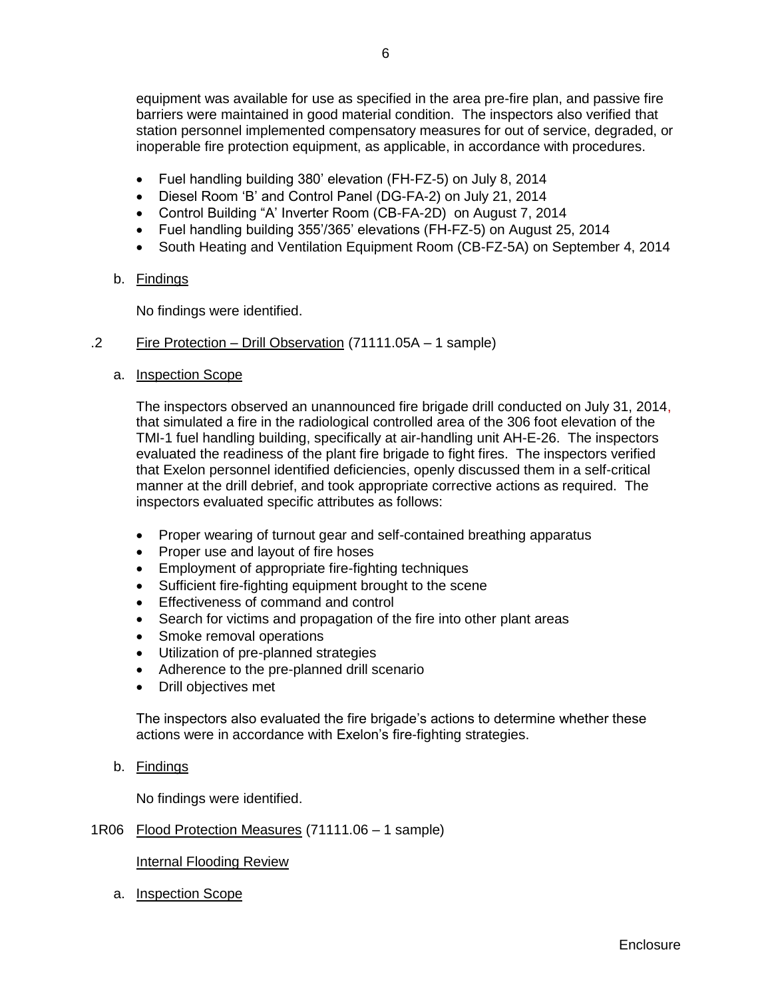equipment was available for use as specified in the area pre-fire plan, and passive fire barriers were maintained in good material condition. The inspectors also verified that station personnel implemented compensatory measures for out of service, degraded, or inoperable fire protection equipment, as applicable, in accordance with procedures.

- Fuel handling building 380' elevation (FH-FZ-5) on July 8, 2014
- Diesel Room 'B' and Control Panel (DG-FA-2) on July 21, 2014
- Control Building "A' Inverter Room (CB-FA-2D) on August 7, 2014
- Fuel handling building 355'/365' elevations (FH-FZ-5) on August 25, 2014
- South Heating and Ventilation Equipment Room (CB-FZ-5A) on September 4, 2014
- b. Findings

No findings were identified.

## .2 Fire Protection – Drill Observation (71111.05A – 1 sample)

a. Inspection Scope

The inspectors observed an unannounced fire brigade drill conducted on July 31, 2014, that simulated a fire in the radiological controlled area of the 306 foot elevation of the TMI-1 fuel handling building, specifically at air-handling unit AH-E-26. The inspectors evaluated the readiness of the plant fire brigade to fight fires. The inspectors verified that Exelon personnel identified deficiencies, openly discussed them in a self-critical manner at the drill debrief, and took appropriate corrective actions as required. The inspectors evaluated specific attributes as follows:

- Proper wearing of turnout gear and self-contained breathing apparatus
- Proper use and layout of fire hoses
- Employment of appropriate fire-fighting techniques
- Sufficient fire-fighting equipment brought to the scene
- **Effectiveness of command and control**
- Search for victims and propagation of the fire into other plant areas
- Smoke removal operations
- Utilization of pre-planned strategies
- Adherence to the pre-planned drill scenario
- Drill objectives met

The inspectors also evaluated the fire brigade's actions to determine whether these actions were in accordance with Exelon's fire-fighting strategies.

b. Findings

No findings were identified.

### <span id="page-8-0"></span>1R06 Flood Protection Measures (71111.06 – 1 sample)

Internal Flooding Review

a. Inspection Scope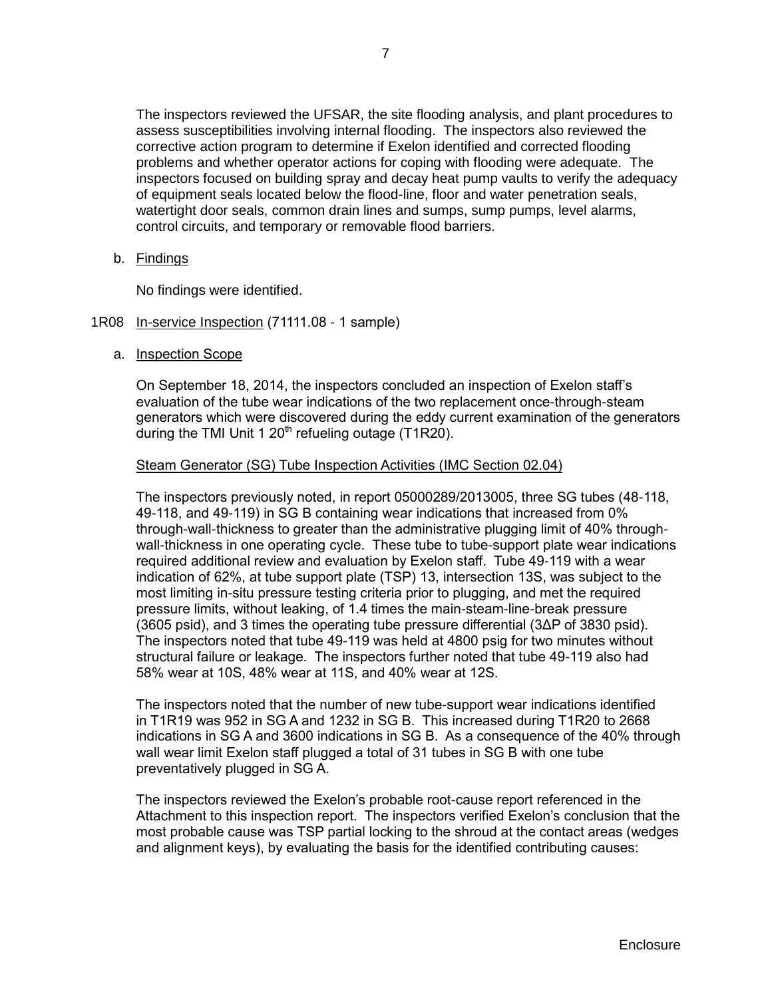The inspectors reviewed the UFSAR, the site flooding analysis, and plant procedures to assess susceptibilities involving internal flooding. The inspectors also reviewed the corrective action program to determine if Exelon identified and corrected flooding problems and whether operator actions for coping with flooding were adequate. The inspectors focused on building spray and decay heat pump vaults to verify the adequacy of equipment seals located below the flood-line, floor and water penetration seals, watertight door seals, common drain lines and sumps, sump pumps, level alarms, control circuits, and temporary or removable flood barriers.

b. Findings

No findings were identified.

- <span id="page-9-0"></span>1R08 In-service Inspection (71111.08 - 1 sample)
	- a. Inspection Scope

On September 18, 2014, the inspectors concluded an inspection of Exelon staff's evaluation of the tube wear indications of the two replacement once-through-steam generators which were discovered during the eddy current examination of the generators during the TMI Unit 1  $20<sup>th</sup>$  refueling outage (T1R20).

### Steam Generator (SG) Tube Inspection Activities (IMC Section 02.04)

The inspectors previously noted, in report 05000289/2013005, three SG tubes (48-118, 49-118, and 49-119) in SG B containing wear indications that increased from 0% through-wall-thickness to greater than the administrative plugging limit of 40% throughwall-thickness in one operating cycle. These tube to tube-support plate wear indications required additional review and evaluation by Exelon staff. Tube 49-119 with a wear indication of 62%, at tube support plate (TSP) 13, intersection 13S, was subject to the most limiting in-situ pressure testing criteria prior to plugging, and met the required pressure limits, without leaking, of 1.4 times the main-steam-line-break pressure (3605 psid), and 3 times the operating tube pressure differential (3ΔP of 3830 psid). The inspectors noted that tube 49-119 was held at 4800 psig for two minutes without structural failure or leakage. The inspectors further noted that tube 49-119 also had 58% wear at 10S, 48% wear at 11S, and 40% wear at 12S.

The inspectors noted that the number of new tube-support wear indications identified in T1R19 was 952 in SG A and 1232 in SG B. This increased during T1R20 to 2668 indications in SG A and 3600 indications in SG B. As a consequence of the 40% through wall wear limit Exelon staff plugged a total of 31 tubes in SG B with one tube preventatively plugged in SG A.

The inspectors reviewed the Exelon's probable root-cause report referenced in the Attachment to this inspection report. The inspectors verified Exelon's conclusion that the most probable cause was TSP partial locking to the shroud at the contact areas (wedges and alignment keys), by evaluating the basis for the identified contributing causes: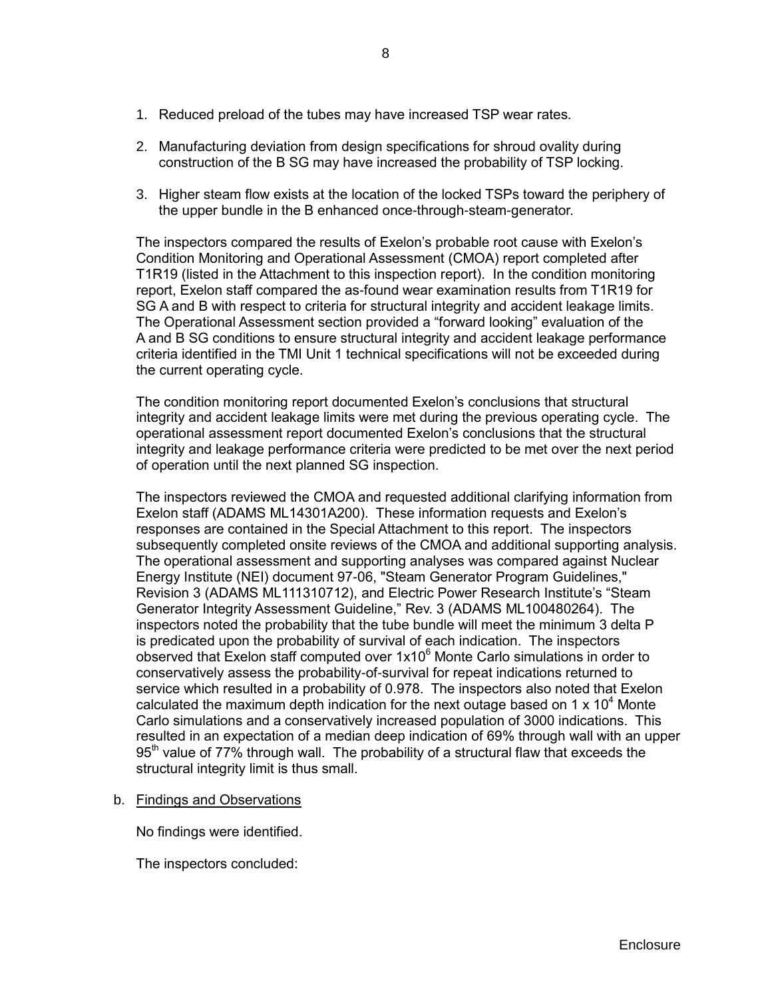- 1. Reduced preload of the tubes may have increased TSP wear rates.
- 2. Manufacturing deviation from design specifications for shroud ovality during construction of the B SG may have increased the probability of TSP locking.
- 3. Higher steam flow exists at the location of the locked TSPs toward the periphery of the upper bundle in the B enhanced once-through-steam-generator.

The inspectors compared the results of Exelon's probable root cause with Exelon's Condition Monitoring and Operational Assessment (CMOA) report completed after T1R19 (listed in the Attachment to this inspection report). In the condition monitoring report, Exelon staff compared the as-found wear examination results from T1R19 for SG A and B with respect to criteria for structural integrity and accident leakage limits. The Operational Assessment section provided a "forward looking" evaluation of the A and B SG conditions to ensure structural integrity and accident leakage performance criteria identified in the TMI Unit 1 technical specifications will not be exceeded during the current operating cycle.

The condition monitoring report documented Exelon's conclusions that structural integrity and accident leakage limits were met during the previous operating cycle. The operational assessment report documented Exelon's conclusions that the structural integrity and leakage performance criteria were predicted to be met over the next period of operation until the next planned SG inspection.

The inspectors reviewed the CMOA and requested additional clarifying information from Exelon staff (ADAMS ML14301A200). These information requests and Exelon's responses are contained in the Special Attachment to this report. The inspectors subsequently completed onsite reviews of the CMOA and additional supporting analysis. The operational assessment and supporting analyses was compared against Nuclear Energy Institute (NEI) document 97-06, "Steam Generator Program Guidelines," Revision 3 (ADAMS ML111310712), and Electric Power Research Institute's "Steam Generator Integrity Assessment Guideline," Rev. 3 (ADAMS ML100480264). The inspectors noted the probability that the tube bundle will meet the minimum 3 delta P is predicated upon the probability of survival of each indication. The inspectors observed that Exelon staff computed over  $1x10<sup>6</sup>$  Monte Carlo simulations in order to conservatively assess the probability-of-survival for repeat indications returned to service which resulted in a probability of 0.978. The inspectors also noted that Exelon calculated the maximum depth indication for the next outage based on 1  $\times$  10<sup>4</sup> Monte Carlo simulations and a conservatively increased population of 3000 indications. This resulted in an expectation of a median deep indication of 69% through wall with an upper 95<sup>th</sup> value of 77% through wall. The probability of a structural flaw that exceeds the structural integrity limit is thus small.

b. Findings and Observations

No findings were identified.

The inspectors concluded: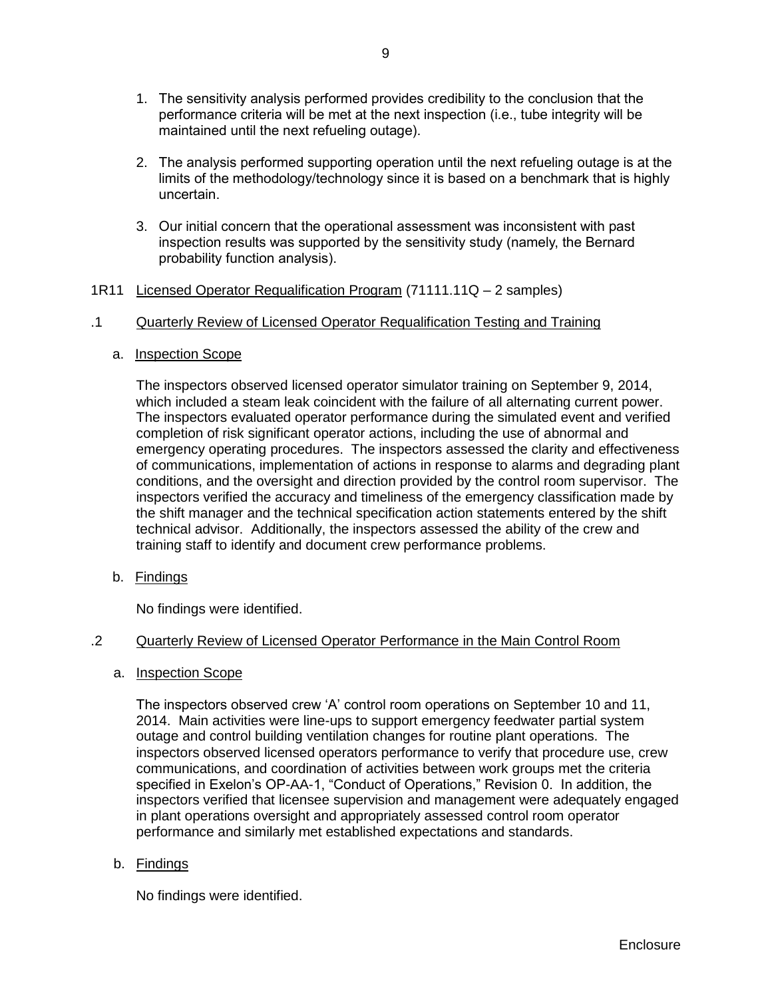- 1. The sensitivity analysis performed provides credibility to the conclusion that the performance criteria will be met at the next inspection (i.e., tube integrity will be maintained until the next refueling outage).
- 2. The analysis performed supporting operation until the next refueling outage is at the limits of the methodology/technology since it is based on a benchmark that is highly uncertain.
- 3. Our initial concern that the operational assessment was inconsistent with past inspection results was supported by the sensitivity study (namely, the Bernard probability function analysis).

## <span id="page-11-0"></span>1R11 Licensed Operator Requalification Program (71111.11Q - 2 samples)

### .1 Quarterly Review of Licensed Operator Requalification Testing and Training

a. Inspection Scope

The inspectors observed licensed operator simulator training on September 9, 2014, which included a steam leak coincident with the failure of all alternating current power. The inspectors evaluated operator performance during the simulated event and verified completion of risk significant operator actions, including the use of abnormal and emergency operating procedures. The inspectors assessed the clarity and effectiveness of communications, implementation of actions in response to alarms and degrading plant conditions, and the oversight and direction provided by the control room supervisor. The inspectors verified the accuracy and timeliness of the emergency classification made by the shift manager and the technical specification action statements entered by the shift technical advisor. Additionally, the inspectors assessed the ability of the crew and training staff to identify and document crew performance problems.

b. Findings

No findings were identified.

### .2 Quarterly Review of Licensed Operator Performance in the Main Control Room

a. Inspection Scope

The inspectors observed crew 'A' control room operations on September 10 and 11, 2014. Main activities were line-ups to support emergency feedwater partial system outage and control building ventilation changes for routine plant operations. The inspectors observed licensed operators performance to verify that procedure use, crew communications, and coordination of activities between work groups met the criteria specified in Exelon's OP-AA-1, "Conduct of Operations," Revision 0. In addition, the inspectors verified that licensee supervision and management were adequately engaged in plant operations oversight and appropriately assessed control room operator performance and similarly met established expectations and standards.

b. Findings

No findings were identified.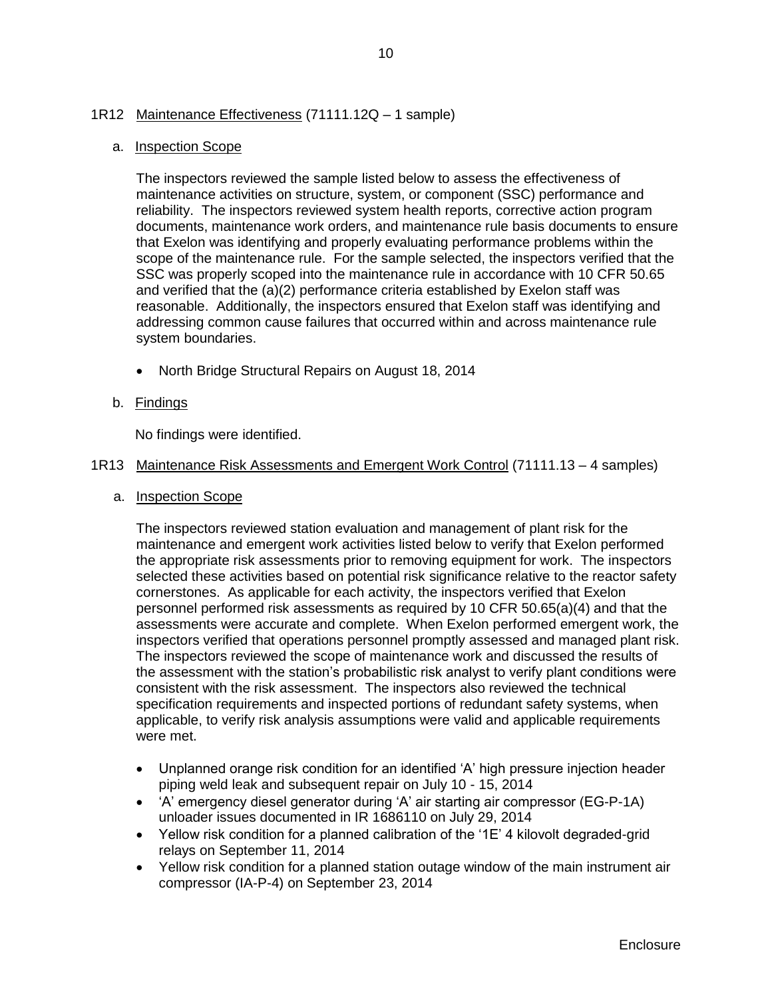## <span id="page-12-0"></span>1R12 Maintenance Effectiveness (71111.12Q – 1 sample)

### a. Inspection Scope

The inspectors reviewed the sample listed below to assess the effectiveness of maintenance activities on structure, system, or component (SSC) performance and reliability. The inspectors reviewed system health reports, corrective action program documents, maintenance work orders, and maintenance rule basis documents to ensure that Exelon was identifying and properly evaluating performance problems within the scope of the maintenance rule. For the sample selected, the inspectors verified that the SSC was properly scoped into the maintenance rule in accordance with 10 CFR 50.65 and verified that the (a)(2) performance criteria established by Exelon staff was reasonable. Additionally, the inspectors ensured that Exelon staff was identifying and addressing common cause failures that occurred within and across maintenance rule system boundaries.

• North Bridge Structural Repairs on August 18, 2014

## b. Findings

No findings were identified.

## <span id="page-12-1"></span>1R13 Maintenance Risk Assessments and Emergent Work Control (71111.13 – 4 samples)

a. Inspection Scope

The inspectors reviewed station evaluation and management of plant risk for the maintenance and emergent work activities listed below to verify that Exelon performed the appropriate risk assessments prior to removing equipment for work. The inspectors selected these activities based on potential risk significance relative to the reactor safety cornerstones. As applicable for each activity, the inspectors verified that Exelon personnel performed risk assessments as required by 10 CFR 50.65(a)(4) and that the assessments were accurate and complete. When Exelon performed emergent work, the inspectors verified that operations personnel promptly assessed and managed plant risk. The inspectors reviewed the scope of maintenance work and discussed the results of the assessment with the station's probabilistic risk analyst to verify plant conditions were consistent with the risk assessment. The inspectors also reviewed the technical specification requirements and inspected portions of redundant safety systems, when applicable, to verify risk analysis assumptions were valid and applicable requirements were met.

- Unplanned orange risk condition for an identified 'A' high pressure injection header piping weld leak and subsequent repair on July 10 - 15, 2014
- 'A' emergency diesel generator during 'A' air starting air compressor (EG-P-1A) unloader issues documented in IR 1686110 on July 29, 2014
- Yellow risk condition for a planned calibration of the '1E' 4 kilovolt degraded-grid relays on September 11, 2014
- Yellow risk condition for a planned station outage window of the main instrument air compressor (IA-P-4) on September 23, 2014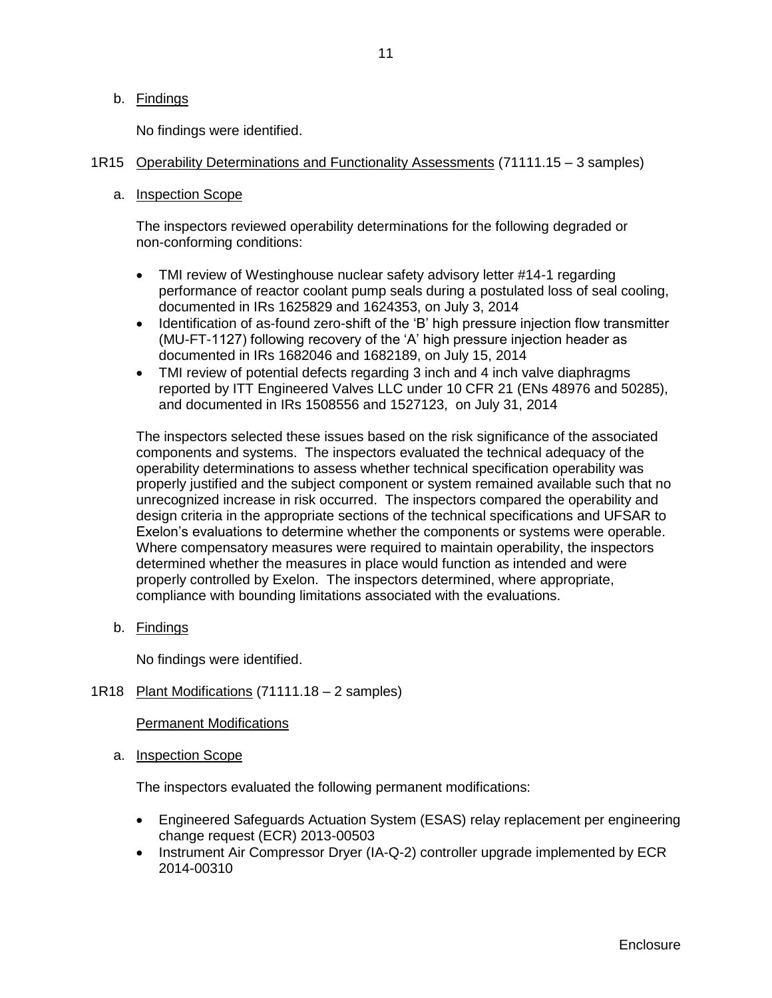### b. Findings

No findings were identified.

## <span id="page-13-0"></span>1R15 Operability Determinations and Functionality Assessments (71111.15 – 3 samples)

## a. Inspection Scope

The inspectors reviewed operability determinations for the following degraded or non-conforming conditions:

- TMI review of Westinghouse nuclear safety advisory letter #14-1 regarding performance of reactor coolant pump seals during a postulated loss of seal cooling, documented in IRs 1625829 and 1624353, on July 3, 2014
- Identification of as-found zero-shift of the 'B' high pressure injection flow transmitter (MU-FT-1127) following recovery of the 'A' high pressure injection header as documented in IRs 1682046 and 1682189, on July 15, 2014
- TMI review of potential defects regarding 3 inch and 4 inch valve diaphragms reported by ITT Engineered Valves LLC under 10 CFR 21 (ENs 48976 and 50285), and documented in IRs 1508556 and 1527123, on July 31, 2014

The inspectors selected these issues based on the risk significance of the associated components and systems. The inspectors evaluated the technical adequacy of the operability determinations to assess whether technical specification operability was properly justified and the subject component or system remained available such that no unrecognized increase in risk occurred. The inspectors compared the operability and design criteria in the appropriate sections of the technical specifications and UFSAR to Exelon's evaluations to determine whether the components or systems were operable. Where compensatory measures were required to maintain operability, the inspectors determined whether the measures in place would function as intended and were properly controlled by Exelon. The inspectors determined, where appropriate, compliance with bounding limitations associated with the evaluations.

b. Findings

No findings were identified.

## <span id="page-13-1"></span>1R18 Plant Modifications (71111.18 – 2 samples)

Permanent Modifications

a. **Inspection Scope** 

The inspectors evaluated the following permanent modifications:

- Engineered Safeguards Actuation System (ESAS) relay replacement per engineering change request (ECR) 2013-00503
- Instrument Air Compressor Dryer (IA-Q-2) controller upgrade implemented by ECR 2014-00310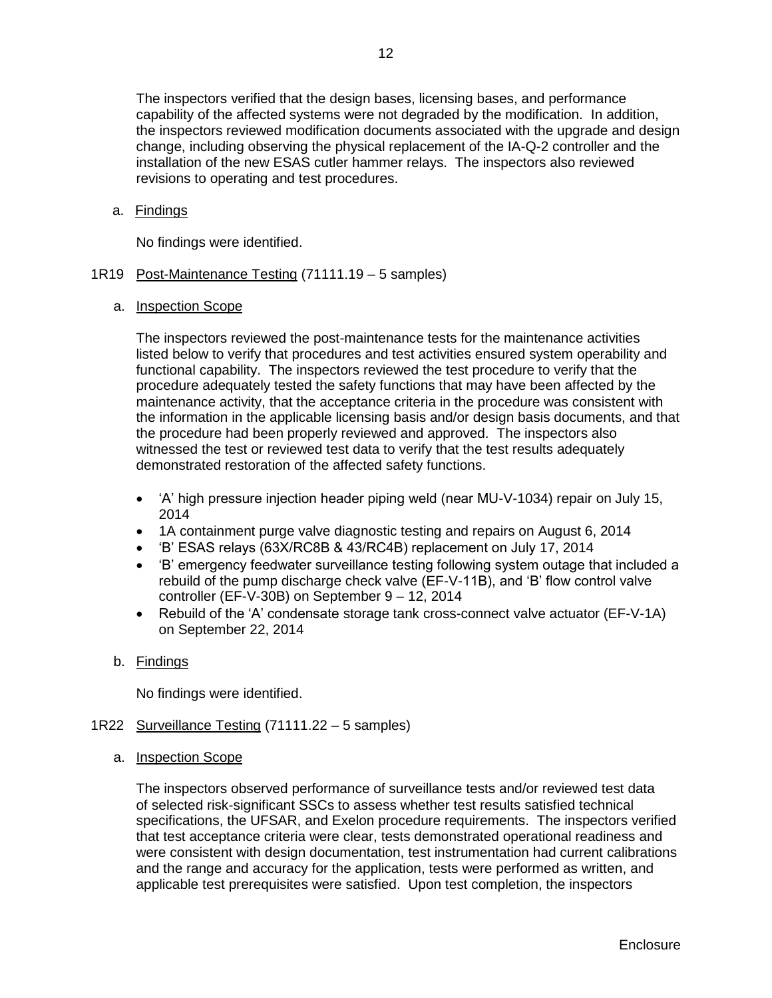The inspectors verified that the design bases, licensing bases, and performance capability of the affected systems were not degraded by the modification. In addition, the inspectors reviewed modification documents associated with the upgrade and design change, including observing the physical replacement of the IA-Q-2 controller and the installation of the new ESAS cutler hammer relays. The inspectors also reviewed revisions to operating and test procedures.

### a. Findings

No findings were identified.

## <span id="page-14-0"></span>1R19 Post-Maintenance Testing (71111.19 – 5 samples)

### a. Inspection Scope

The inspectors reviewed the post-maintenance tests for the maintenance activities listed below to verify that procedures and test activities ensured system operability and functional capability. The inspectors reviewed the test procedure to verify that the procedure adequately tested the safety functions that may have been affected by the maintenance activity, that the acceptance criteria in the procedure was consistent with the information in the applicable licensing basis and/or design basis documents, and that the procedure had been properly reviewed and approved. The inspectors also witnessed the test or reviewed test data to verify that the test results adequately demonstrated restoration of the affected safety functions.

- 'A' high pressure injection header piping weld (near MU-V-1034) repair on July 15, 2014
- 1A containment purge valve diagnostic testing and repairs on August 6, 2014
- 'B' ESAS relays (63X/RC8B & 43/RC4B) replacement on July 17, 2014
- 'B' emergency feedwater surveillance testing following system outage that included a rebuild of the pump discharge check valve (EF-V-11B), and 'B' flow control valve controller (EF-V-30B) on September 9 – 12, 2014
- Rebuild of the 'A' condensate storage tank cross-connect valve actuator (EF-V-1A) on September 22, 2014
- b. Findings

No findings were identified.

- <span id="page-14-1"></span>1R22 Surveillance Testing (71111.22 – 5 samples)
	- a. Inspection Scope

The inspectors observed performance of surveillance tests and/or reviewed test data of selected risk-significant SSCs to assess whether test results satisfied technical specifications, the UFSAR, and Exelon procedure requirements. The inspectors verified that test acceptance criteria were clear, tests demonstrated operational readiness and were consistent with design documentation, test instrumentation had current calibrations and the range and accuracy for the application, tests were performed as written, and applicable test prerequisites were satisfied. Upon test completion, the inspectors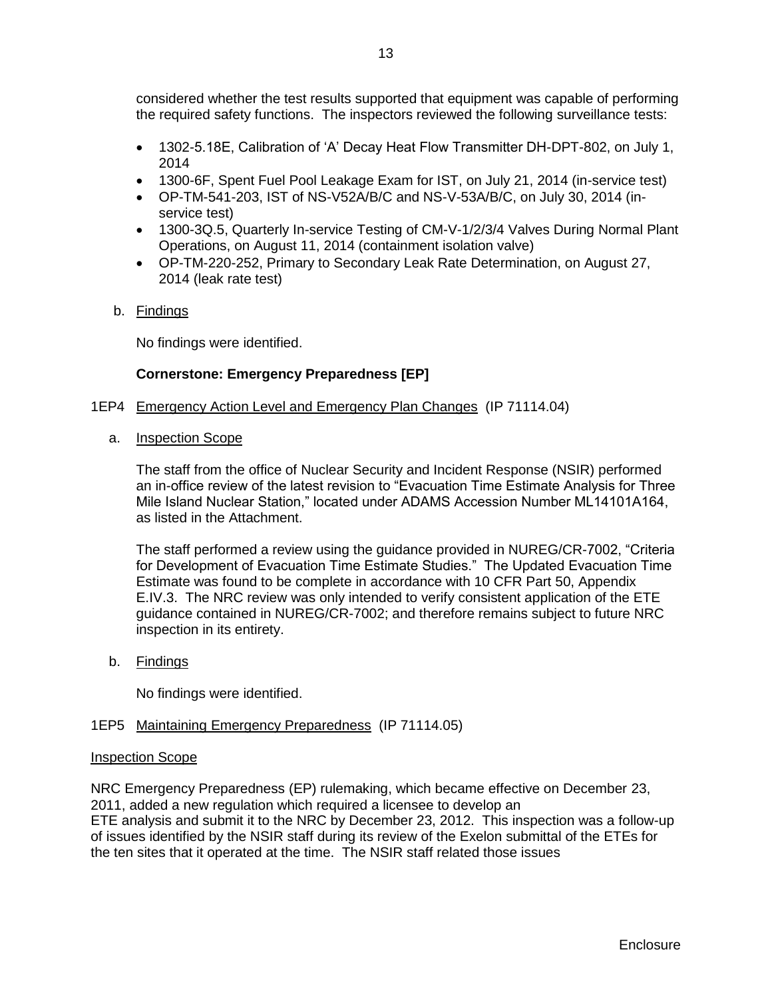- 1302-5.18E, Calibration of 'A' Decay Heat Flow Transmitter DH-DPT-802, on July 1, 2014
- 1300-6F, Spent Fuel Pool Leakage Exam for IST, on July 21, 2014 (in-service test)
- OP-TM-541-203, IST of NS-V52A/B/C and NS-V-53A/B/C, on July 30, 2014 (inservice test)
- 1300-3Q.5, Quarterly In-service Testing of CM-V-1/2/3/4 Valves During Normal Plant Operations, on August 11, 2014 (containment isolation valve)
- OP-TM-220-252, Primary to Secondary Leak Rate Determination, on August 27, 2014 (leak rate test)
- b. Findings

No findings were identified.

## **Cornerstone: Emergency Preparedness [EP]**

- <span id="page-15-0"></span>1EP4 Emergency Action Level and Emergency Plan Changes (IP 71114.04)
	- a. Inspection Scope

The staff from the office of Nuclear Security and Incident Response (NSIR) performed an in-office review of the latest revision to "Evacuation Time Estimate Analysis for Three Mile Island Nuclear Station," located under ADAMS Accession Number ML14101A164, as listed in the Attachment.

The staff performed a review using the guidance provided in NUREG/CR-7002, "Criteria for Development of Evacuation Time Estimate Studies." The Updated Evacuation Time Estimate was found to be complete in accordance with 10 CFR Part 50, Appendix E.IV.3. The NRC review was only intended to verify consistent application of the ETE guidance contained in NUREG/CR-7002; and therefore remains subject to future NRC inspection in its entirety.

b. Findings

No findings were identified.

## <span id="page-15-1"></span>1EP5 Maintaining Emergency Preparedness (IP 71114.05)

## Inspection Scope

NRC Emergency Preparedness (EP) rulemaking, which became effective on December 23, 2011, added a new regulation which required a licensee to develop an ETE analysis and submit it to the NRC by December 23, 2012. This inspection was a follow-up of issues identified by the NSIR staff during its review of the Exelon submittal of the ETEs for the ten sites that it operated at the time. The NSIR staff related those issues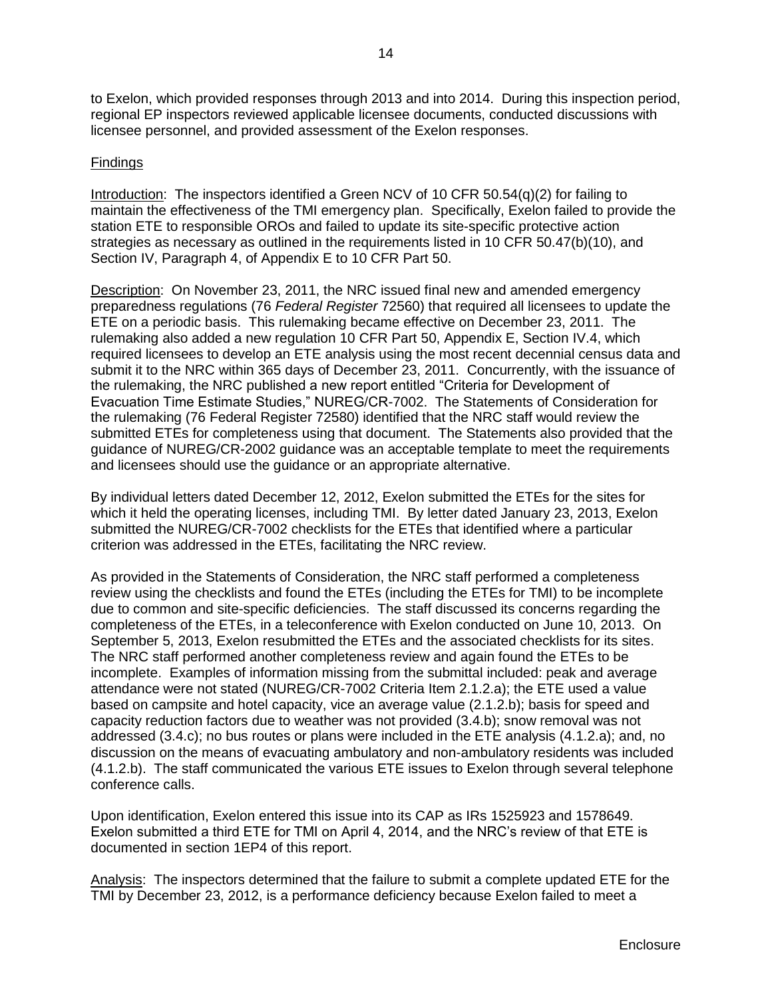to Exelon, which provided responses through 2013 and into 2014. During this inspection period, regional EP inspectors reviewed applicable licensee documents, conducted discussions with licensee personnel, and provided assessment of the Exelon responses.

## **Findings**

Introduction: The inspectors identified a Green NCV of 10 CFR 50.54(q)(2) for failing to maintain the effectiveness of the TMI emergency plan. Specifically, Exelon failed to provide the station ETE to responsible OROs and failed to update its site-specific protective action strategies as necessary as outlined in the requirements listed in 10 CFR 50.47(b)(10), and Section IV, Paragraph 4, of Appendix E to 10 CFR Part 50.

Description: On November 23, 2011, the NRC issued final new and amended emergency preparedness regulations (76 *Federal Register* 72560) that required all licensees to update the ETE on a periodic basis. This rulemaking became effective on December 23, 2011. The rulemaking also added a new regulation 10 CFR Part 50, Appendix E, Section IV.4, which required licensees to develop an ETE analysis using the most recent decennial census data and submit it to the NRC within 365 days of December 23, 2011. Concurrently, with the issuance of the rulemaking, the NRC published a new report entitled "Criteria for Development of Evacuation Time Estimate Studies," NUREG/CR-7002. The Statements of Consideration for the rulemaking (76 Federal Register 72580) identified that the NRC staff would review the submitted ETEs for completeness using that document. The Statements also provided that the guidance of NUREG/CR-2002 guidance was an acceptable template to meet the requirements and licensees should use the guidance or an appropriate alternative.

By individual letters dated December 12, 2012, Exelon submitted the ETEs for the sites for which it held the operating licenses, including TMI. By letter dated January 23, 2013, Exelon submitted the NUREG/CR-7002 checklists for the ETEs that identified where a particular criterion was addressed in the ETEs, facilitating the NRC review.

As provided in the Statements of Consideration, the NRC staff performed a completeness review using the checklists and found the ETEs (including the ETEs for TMI) to be incomplete due to common and site-specific deficiencies. The staff discussed its concerns regarding the completeness of the ETEs, in a teleconference with Exelon conducted on June 10, 2013. On September 5, 2013, Exelon resubmitted the ETEs and the associated checklists for its sites. The NRC staff performed another completeness review and again found the ETEs to be incomplete. Examples of information missing from the submittal included: peak and average attendance were not stated (NUREG/CR-7002 Criteria Item 2.1.2.a); the ETE used a value based on campsite and hotel capacity, vice an average value (2.1.2.b); basis for speed and capacity reduction factors due to weather was not provided (3.4.b); snow removal was not addressed (3.4.c); no bus routes or plans were included in the ETE analysis (4.1.2.a); and, no discussion on the means of evacuating ambulatory and non-ambulatory residents was included (4.1.2.b). The staff communicated the various ETE issues to Exelon through several telephone conference calls.

Upon identification, Exelon entered this issue into its CAP as IRs 1525923 and 1578649. Exelon submitted a third ETE for TMI on April 4, 2014, and the NRC's review of that ETE is documented in section 1EP4 of this report.

Analysis: The inspectors determined that the failure to submit a complete updated ETE for the TMI by December 23, 2012, is a performance deficiency because Exelon failed to meet a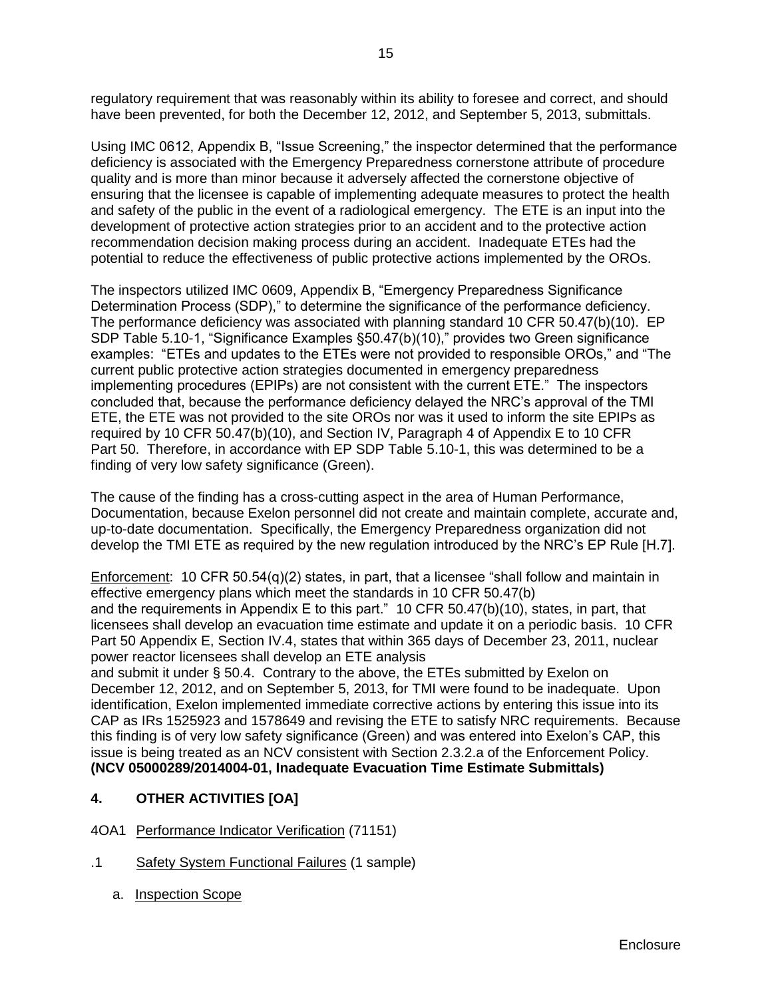regulatory requirement that was reasonably within its ability to foresee and correct, and should have been prevented, for both the December 12, 2012, and September 5, 2013, submittals.

Using IMC 0612, Appendix B, "Issue Screening," the inspector determined that the performance deficiency is associated with the Emergency Preparedness cornerstone attribute of procedure quality and is more than minor because it adversely affected the cornerstone objective of ensuring that the licensee is capable of implementing adequate measures to protect the health and safety of the public in the event of a radiological emergency. The ETE is an input into the development of protective action strategies prior to an accident and to the protective action recommendation decision making process during an accident. Inadequate ETEs had the potential to reduce the effectiveness of public protective actions implemented by the OROs.

The inspectors utilized IMC 0609, Appendix B, "Emergency Preparedness Significance Determination Process (SDP)," to determine the significance of the performance deficiency. The performance deficiency was associated with planning standard 10 CFR 50.47(b)(10). EP SDP Table 5.10-1, "Significance Examples §50.47(b)(10)," provides two Green significance examples: "ETEs and updates to the ETEs were not provided to responsible OROs," and "The current public protective action strategies documented in emergency preparedness implementing procedures (EPIPs) are not consistent with the current ETE." The inspectors concluded that, because the performance deficiency delayed the NRC's approval of the TMI ETE, the ETE was not provided to the site OROs nor was it used to inform the site EPIPs as required by 10 CFR 50.47(b)(10), and Section IV, Paragraph 4 of Appendix E to 10 CFR Part 50. Therefore, in accordance with EP SDP Table 5.10-1, this was determined to be a finding of very low safety significance (Green).

The cause of the finding has a cross-cutting aspect in the area of Human Performance, Documentation, because Exelon personnel did not create and maintain complete, accurate and, up-to-date documentation. Specifically, the Emergency Preparedness organization did not develop the TMI ETE as required by the new regulation introduced by the NRC's EP Rule [H.7].

Enforcement: 10 CFR 50.54(q)(2) states, in part, that a licensee "shall follow and maintain in effective emergency plans which meet the standards in 10 CFR 50.47(b) and the requirements in Appendix E to this part." 10 CFR 50.47(b)(10), states, in part, that licensees shall develop an evacuation time estimate and update it on a periodic basis. 10 CFR Part 50 Appendix E, Section IV.4, states that within 365 days of December 23, 2011, nuclear power reactor licensees shall develop an ETE analysis

and submit it under § 50.4. Contrary to the above, the ETEs submitted by Exelon on December 12, 2012, and on September 5, 2013, for TMI were found to be inadequate. Upon identification, Exelon implemented immediate corrective actions by entering this issue into its CAP as IRs 1525923 and 1578649 and revising the ETE to satisfy NRC requirements. Because this finding is of very low safety significance (Green) and was entered into Exelon's CAP, this issue is being treated as an NCV consistent with Section 2.3.2.a of the Enforcement Policy. **(NCV 05000289/2014004-01, Inadequate Evacuation Time Estimate Submittals)**

## <span id="page-17-0"></span>**4. OTHER ACTIVITIES [OA]**

- <span id="page-17-1"></span>4OA1 Performance Indicator Verification (71151)
- .1 Safety System Functional Failures (1 sample)
	- a. Inspection Scope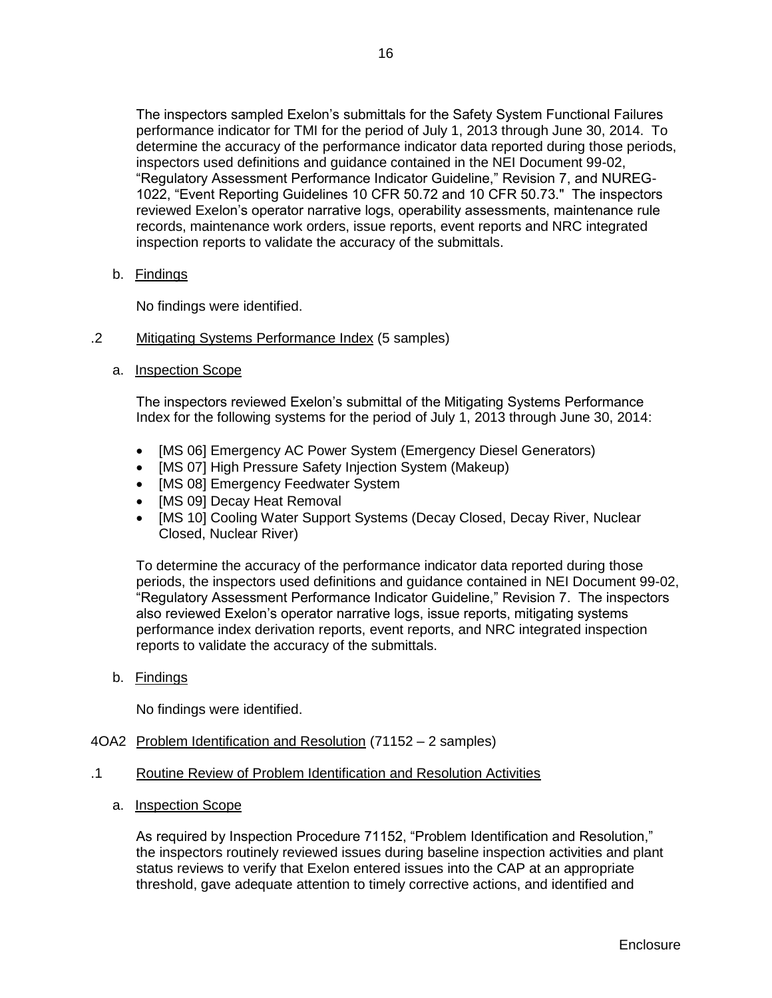The inspectors sampled Exelon's submittals for the Safety System Functional Failures performance indicator for TMI for the period of July 1, 2013 through June 30, 2014. To determine the accuracy of the performance indicator data reported during those periods, inspectors used definitions and guidance contained in the NEI Document 99-02, "Regulatory Assessment Performance Indicator Guideline," Revision 7, and NUREG-1022, "Event Reporting Guidelines 10 CFR 50.72 and 10 CFR 50.73." The inspectors reviewed Exelon's operator narrative logs, operability assessments, maintenance rule records, maintenance work orders, issue reports, event reports and NRC integrated inspection reports to validate the accuracy of the submittals.

b. Findings

No findings were identified.

- .2 Mitigating Systems Performance Index (5 samples)
	- a. Inspection Scope

The inspectors reviewed Exelon's submittal of the Mitigating Systems Performance Index for the following systems for the period of July 1, 2013 through June 30, 2014:

- [MS 06] Emergency AC Power System (Emergency Diesel Generators)
- [MS 07] High Pressure Safety Injection System (Makeup)
- [MS 08] Emergency Feedwater System
- [MS 09] Decay Heat Removal
- [MS 10] Cooling Water Support Systems (Decay Closed, Decay River, Nuclear Closed, Nuclear River)

To determine the accuracy of the performance indicator data reported during those periods, the inspectors used definitions and guidance contained in NEI Document 99-02, "Regulatory Assessment Performance Indicator Guideline," Revision 7. The inspectors also reviewed Exelon's operator narrative logs, issue reports, mitigating systems performance index derivation reports, event reports, and NRC integrated inspection reports to validate the accuracy of the submittals.

b. Findings

No findings were identified.

- <span id="page-18-0"></span>4OA2 Problem Identification and Resolution (71152 – 2 samples)
- .1 Routine Review of Problem Identification and Resolution Activities
	- a. Inspection Scope

As required by Inspection Procedure 71152, "Problem Identification and Resolution," the inspectors routinely reviewed issues during baseline inspection activities and plant status reviews to verify that Exelon entered issues into the CAP at an appropriate threshold, gave adequate attention to timely corrective actions, and identified and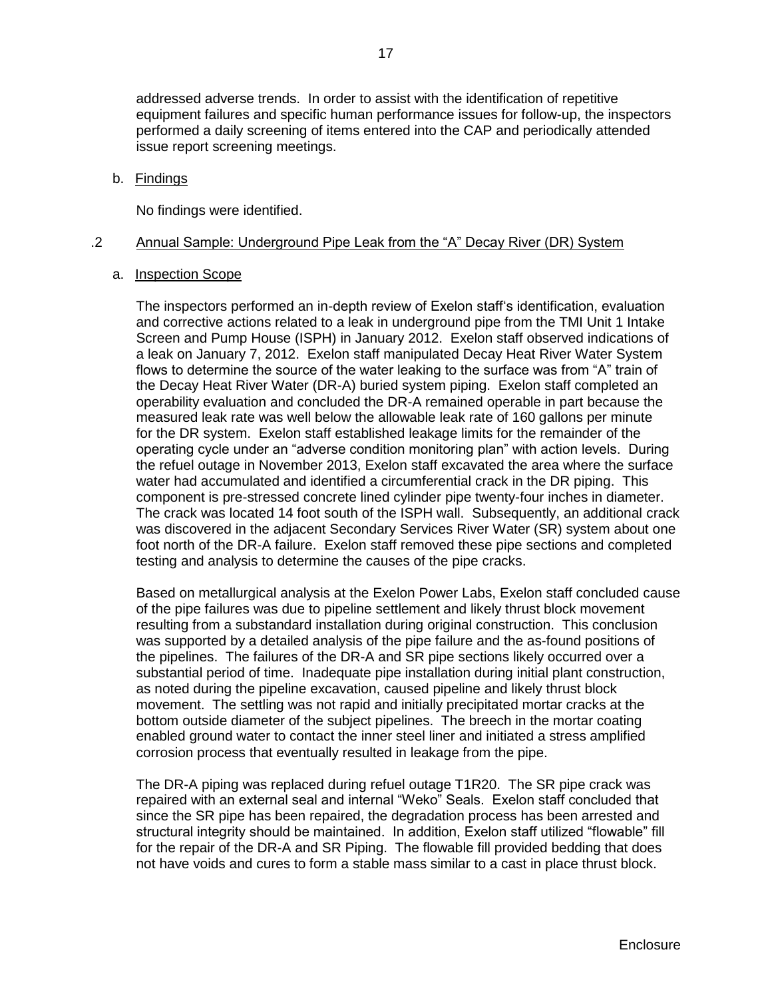addressed adverse trends. In order to assist with the identification of repetitive equipment failures and specific human performance issues for follow-up, the inspectors performed a daily screening of items entered into the CAP and periodically attended issue report screening meetings.

### b. Findings

No findings were identified.

### .2 Annual Sample: Underground Pipe Leak from the "A" Decay River (DR) System

### a. Inspection Scope

The inspectors performed an in-depth review of Exelon staff's identification, evaluation and corrective actions related to a leak in underground pipe from the TMI Unit 1 Intake Screen and Pump House (ISPH) in January 2012. Exelon staff observed indications of a leak on January 7, 2012. Exelon staff manipulated Decay Heat River Water System flows to determine the source of the water leaking to the surface was from "A" train of the Decay Heat River Water (DR-A) buried system piping. Exelon staff completed an operability evaluation and concluded the DR-A remained operable in part because the measured leak rate was well below the allowable leak rate of 160 gallons per minute for the DR system. Exelon staff established leakage limits for the remainder of the operating cycle under an "adverse condition monitoring plan" with action levels. During the refuel outage in November 2013, Exelon staff excavated the area where the surface water had accumulated and identified a circumferential crack in the DR piping. This component is pre-stressed concrete lined cylinder pipe twenty-four inches in diameter. The crack was located 14 foot south of the ISPH wall. Subsequently, an additional crack was discovered in the adjacent Secondary Services River Water (SR) system about one foot north of the DR-A failure. Exelon staff removed these pipe sections and completed testing and analysis to determine the causes of the pipe cracks.

Based on metallurgical analysis at the Exelon Power Labs, Exelon staff concluded cause of the pipe failures was due to pipeline settlement and likely thrust block movement resulting from a substandard installation during original construction. This conclusion was supported by a detailed analysis of the pipe failure and the as-found positions of the pipelines. The failures of the DR-A and SR pipe sections likely occurred over a substantial period of time. Inadequate pipe installation during initial plant construction, as noted during the pipeline excavation, caused pipeline and likely thrust block movement. The settling was not rapid and initially precipitated mortar cracks at the bottom outside diameter of the subject pipelines. The breech in the mortar coating enabled ground water to contact the inner steel liner and initiated a stress amplified corrosion process that eventually resulted in leakage from the pipe.

The DR-A piping was replaced during refuel outage T1R20. The SR pipe crack was repaired with an external seal and internal "Weko" Seals. Exelon staff concluded that since the SR pipe has been repaired, the degradation process has been arrested and structural integrity should be maintained. In addition, Exelon staff utilized "flowable" fill for the repair of the DR-A and SR Piping. The flowable fill provided bedding that does not have voids and cures to form a stable mass similar to a cast in place thrust block.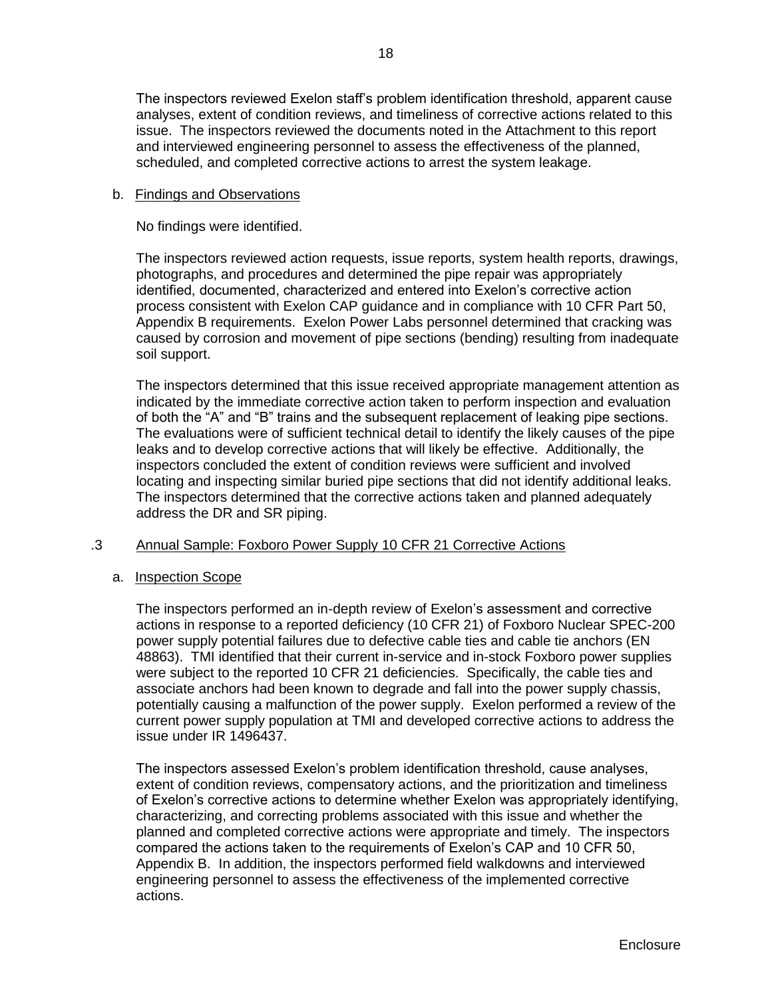The inspectors reviewed Exelon staff's problem identification threshold, apparent cause analyses, extent of condition reviews, and timeliness of corrective actions related to this issue. The inspectors reviewed the documents noted in the Attachment to this report and interviewed engineering personnel to assess the effectiveness of the planned, scheduled, and completed corrective actions to arrest the system leakage.

## b. Findings and Observations

No findings were identified.

The inspectors reviewed action requests, issue reports, system health reports, drawings, photographs, and procedures and determined the pipe repair was appropriately identified, documented, characterized and entered into Exelon's corrective action process consistent with Exelon CAP guidance and in compliance with 10 CFR Part 50, Appendix B requirements. Exelon Power Labs personnel determined that cracking was caused by corrosion and movement of pipe sections (bending) resulting from inadequate soil support.

The inspectors determined that this issue received appropriate management attention as indicated by the immediate corrective action taken to perform inspection and evaluation of both the "A" and "B" trains and the subsequent replacement of leaking pipe sections. The evaluations were of sufficient technical detail to identify the likely causes of the pipe leaks and to develop corrective actions that will likely be effective. Additionally, the inspectors concluded the extent of condition reviews were sufficient and involved locating and inspecting similar buried pipe sections that did not identify additional leaks. The inspectors determined that the corrective actions taken and planned adequately address the DR and SR piping.

## .3 Annual Sample: Foxboro Power Supply 10 CFR 21 Corrective Actions

### a. Inspection Scope

The inspectors performed an in-depth review of Exelon's assessment and corrective actions in response to a reported deficiency (10 CFR 21) of Foxboro Nuclear SPEC-200 power supply potential failures due to defective cable ties and cable tie anchors (EN 48863). TMI identified that their current in-service and in-stock Foxboro power supplies were subject to the reported 10 CFR 21 deficiencies. Specifically, the cable ties and associate anchors had been known to degrade and fall into the power supply chassis, potentially causing a malfunction of the power supply. Exelon performed a review of the current power supply population at TMI and developed corrective actions to address the issue under IR 1496437.

The inspectors assessed Exelon's problem identification threshold, cause analyses, extent of condition reviews, compensatory actions, and the prioritization and timeliness of Exelon's corrective actions to determine whether Exelon was appropriately identifying, characterizing, and correcting problems associated with this issue and whether the planned and completed corrective actions were appropriate and timely. The inspectors compared the actions taken to the requirements of Exelon's CAP and 10 CFR 50, Appendix B. In addition, the inspectors performed field walkdowns and interviewed engineering personnel to assess the effectiveness of the implemented corrective actions.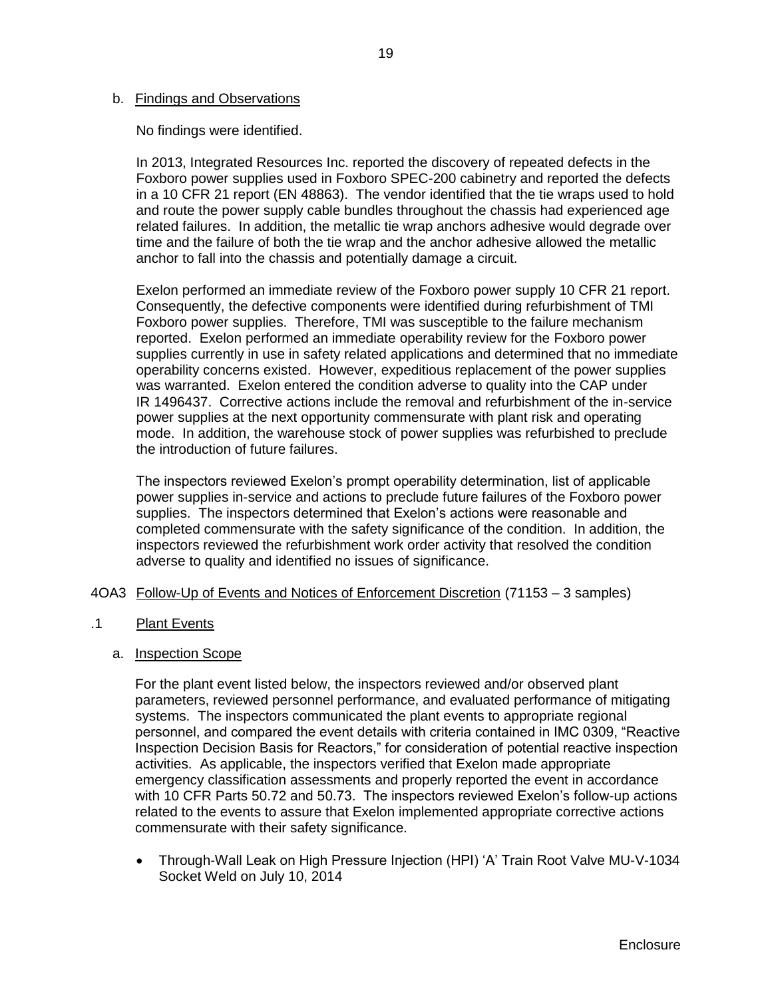### b. Findings and Observations

No findings were identified.

In 2013, Integrated Resources Inc. reported the discovery of repeated defects in the Foxboro power supplies used in Foxboro SPEC-200 cabinetry and reported the defects in a 10 CFR 21 report (EN 48863). The vendor identified that the tie wraps used to hold and route the power supply cable bundles throughout the chassis had experienced age related failures. In addition, the metallic tie wrap anchors adhesive would degrade over time and the failure of both the tie wrap and the anchor adhesive allowed the metallic anchor to fall into the chassis and potentially damage a circuit.

Exelon performed an immediate review of the Foxboro power supply 10 CFR 21 report. Consequently, the defective components were identified during refurbishment of TMI Foxboro power supplies. Therefore, TMI was susceptible to the failure mechanism reported. Exelon performed an immediate operability review for the Foxboro power supplies currently in use in safety related applications and determined that no immediate operability concerns existed. However, expeditious replacement of the power supplies was warranted. Exelon entered the condition adverse to quality into the CAP under IR 1496437. Corrective actions include the removal and refurbishment of the in-service power supplies at the next opportunity commensurate with plant risk and operating mode. In addition, the warehouse stock of power supplies was refurbished to preclude the introduction of future failures.

The inspectors reviewed Exelon's prompt operability determination, list of applicable power supplies in-service and actions to preclude future failures of the Foxboro power supplies. The inspectors determined that Exelon's actions were reasonable and completed commensurate with the safety significance of the condition. In addition, the inspectors reviewed the refurbishment work order activity that resolved the condition adverse to quality and identified no issues of significance.

#### <span id="page-21-0"></span>4OA3 Follow-Up of Events and Notices of Enforcement Discretion (71153 – 3 samples)

- .1 Plant Events
	- a. Inspection Scope

For the plant event listed below, the inspectors reviewed and/or observed plant parameters, reviewed personnel performance, and evaluated performance of mitigating systems. The inspectors communicated the plant events to appropriate regional personnel, and compared the event details with criteria contained in IMC 0309, "Reactive Inspection Decision Basis for Reactors," for consideration of potential reactive inspection activities. As applicable, the inspectors verified that Exelon made appropriate emergency classification assessments and properly reported the event in accordance with 10 CFR Parts 50.72 and 50.73. The inspectors reviewed Exelon's follow-up actions related to the events to assure that Exelon implemented appropriate corrective actions commensurate with their safety significance.

• Through-Wall Leak on High Pressure Injection (HPI) 'A' Train Root Valve MU-V-1034 Socket Weld on July 10, 2014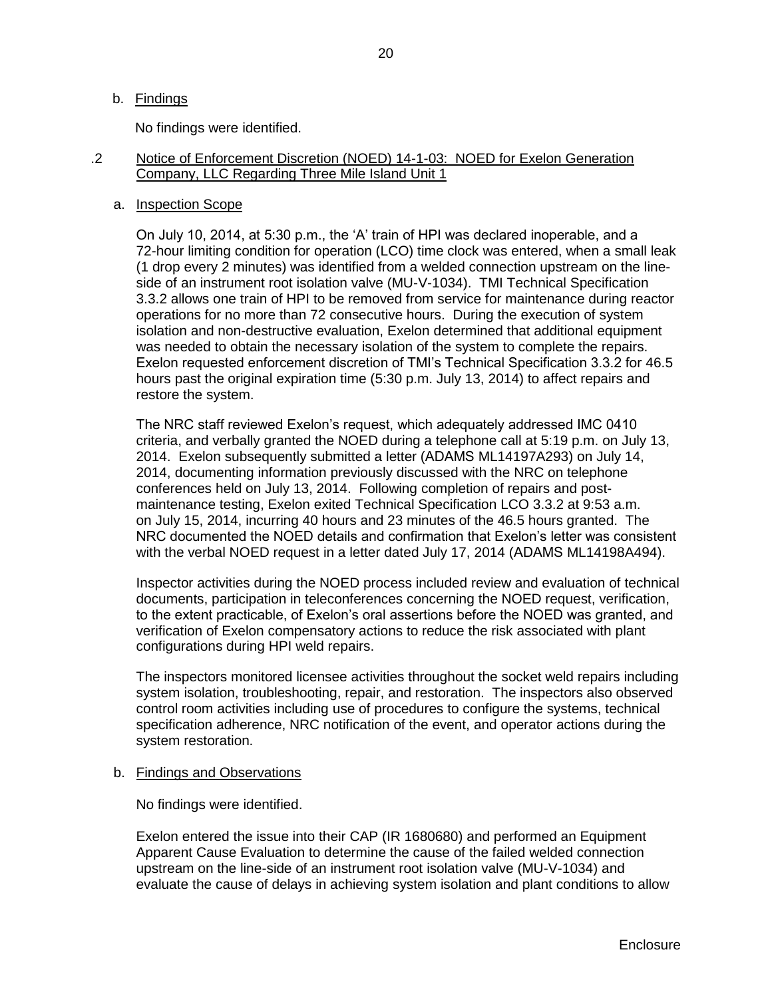### b. Findings

No findings were identified.

### .2 Notice of Enforcement Discretion (NOED) 14-1-03: NOED for Exelon Generation Company, LLC Regarding Three Mile Island Unit 1

#### a. Inspection Scope

On July 10, 2014, at 5:30 p.m., the 'A' train of HPI was declared inoperable, and a 72-hour limiting condition for operation (LCO) time clock was entered, when a small leak (1 drop every 2 minutes) was identified from a welded connection upstream on the lineside of an instrument root isolation valve (MU-V-1034). TMI Technical Specification 3.3.2 allows one train of HPI to be removed from service for maintenance during reactor operations for no more than 72 consecutive hours. During the execution of system isolation and non-destructive evaluation, Exelon determined that additional equipment was needed to obtain the necessary isolation of the system to complete the repairs. Exelon requested enforcement discretion of TMI's Technical Specification 3.3.2 for 46.5 hours past the original expiration time (5:30 p.m. July 13, 2014) to affect repairs and restore the system.

The NRC staff reviewed Exelon's request, which adequately addressed IMC 0410 criteria, and verbally granted the NOED during a telephone call at 5:19 p.m. on July 13, 2014. Exelon subsequently submitted a letter (ADAMS ML14197A293) on July 14, 2014, documenting information previously discussed with the NRC on telephone conferences held on July 13, 2014. Following completion of repairs and postmaintenance testing, Exelon exited Technical Specification LCO 3.3.2 at 9:53 a.m. on July 15, 2014, incurring 40 hours and 23 minutes of the 46.5 hours granted. The NRC documented the NOED details and confirmation that Exelon's letter was consistent with the verbal NOED request in a letter dated July 17, 2014 (ADAMS ML14198A494).

Inspector activities during the NOED process included review and evaluation of technical documents, participation in teleconferences concerning the NOED request, verification, to the extent practicable, of Exelon's oral assertions before the NOED was granted, and verification of Exelon compensatory actions to reduce the risk associated with plant configurations during HPI weld repairs.

The inspectors monitored licensee activities throughout the socket weld repairs including system isolation, troubleshooting, repair, and restoration. The inspectors also observed control room activities including use of procedures to configure the systems, technical specification adherence, NRC notification of the event, and operator actions during the system restoration.

### b. Findings and Observations

No findings were identified.

Exelon entered the issue into their CAP (IR 1680680) and performed an Equipment Apparent Cause Evaluation to determine the cause of the failed welded connection upstream on the line-side of an instrument root isolation valve (MU-V-1034) and evaluate the cause of delays in achieving system isolation and plant conditions to allow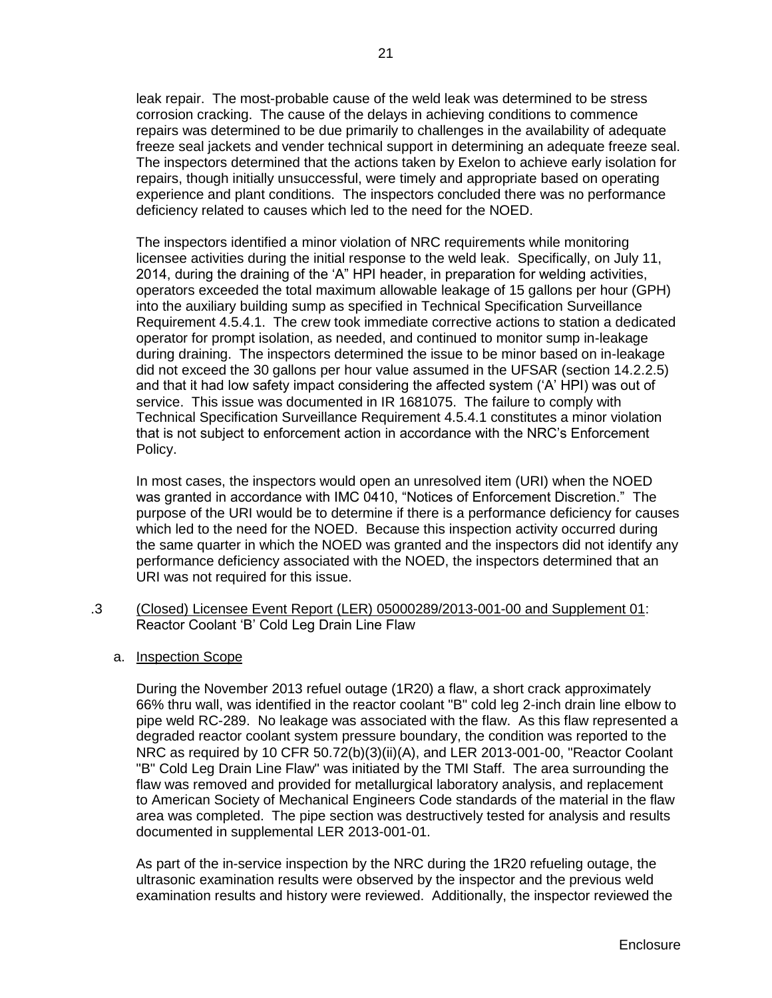leak repair. The most-probable cause of the weld leak was determined to be stress corrosion cracking. The cause of the delays in achieving conditions to commence repairs was determined to be due primarily to challenges in the availability of adequate freeze seal jackets and vender technical support in determining an adequate freeze seal. The inspectors determined that the actions taken by Exelon to achieve early isolation for repairs, though initially unsuccessful, were timely and appropriate based on operating experience and plant conditions. The inspectors concluded there was no performance deficiency related to causes which led to the need for the NOED.

The inspectors identified a minor violation of NRC requirements while monitoring licensee activities during the initial response to the weld leak. Specifically, on July 11, 2014, during the draining of the 'A" HPI header, in preparation for welding activities, operators exceeded the total maximum allowable leakage of 15 gallons per hour (GPH) into the auxiliary building sump as specified in Technical Specification Surveillance Requirement 4.5.4.1. The crew took immediate corrective actions to station a dedicated operator for prompt isolation, as needed, and continued to monitor sump in-leakage during draining. The inspectors determined the issue to be minor based on in-leakage did not exceed the 30 gallons per hour value assumed in the UFSAR (section 14.2.2.5) and that it had low safety impact considering the affected system ('A' HPI) was out of service. This issue was documented in IR 1681075. The failure to comply with Technical Specification Surveillance Requirement 4.5.4.1 constitutes a minor violation that is not subject to enforcement action in accordance with the NRC's Enforcement Policy.

In most cases, the inspectors would open an unresolved item (URI) when the NOED was granted in accordance with IMC 0410, "Notices of Enforcement Discretion." The purpose of the URI would be to determine if there is a performance deficiency for causes which led to the need for the NOED. Because this inspection activity occurred during the same quarter in which the NOED was granted and the inspectors did not identify any performance deficiency associated with the NOED, the inspectors determined that an URI was not required for this issue.

- .3 (Closed) Licensee Event Report (LER) 05000289/2013-001-00 and Supplement 01: Reactor Coolant 'B' Cold Leg Drain Line Flaw
	- a. Inspection Scope

During the November 2013 refuel outage (1R20) a flaw, a short crack approximately 66% thru wall, was identified in the reactor coolant "B" cold leg 2-inch drain line elbow to pipe weld RC-289. No leakage was associated with the flaw. As this flaw represented a degraded reactor coolant system pressure boundary, the condition was reported to the NRC as required by 10 CFR 50.72(b)(3)(ii)(A), and LER 2013-001-00, "Reactor Coolant "B" Cold Leg Drain Line Flaw" was initiated by the TMI Staff. The area surrounding the flaw was removed and provided for metallurgical laboratory analysis, and replacement to American Society of Mechanical Engineers Code standards of the material in the flaw area was completed. The pipe section was destructively tested for analysis and results documented in supplemental LER 2013-001-01.

As part of the in-service inspection by the NRC during the 1R20 refueling outage, the ultrasonic examination results were observed by the inspector and the previous weld examination results and history were reviewed. Additionally, the inspector reviewed the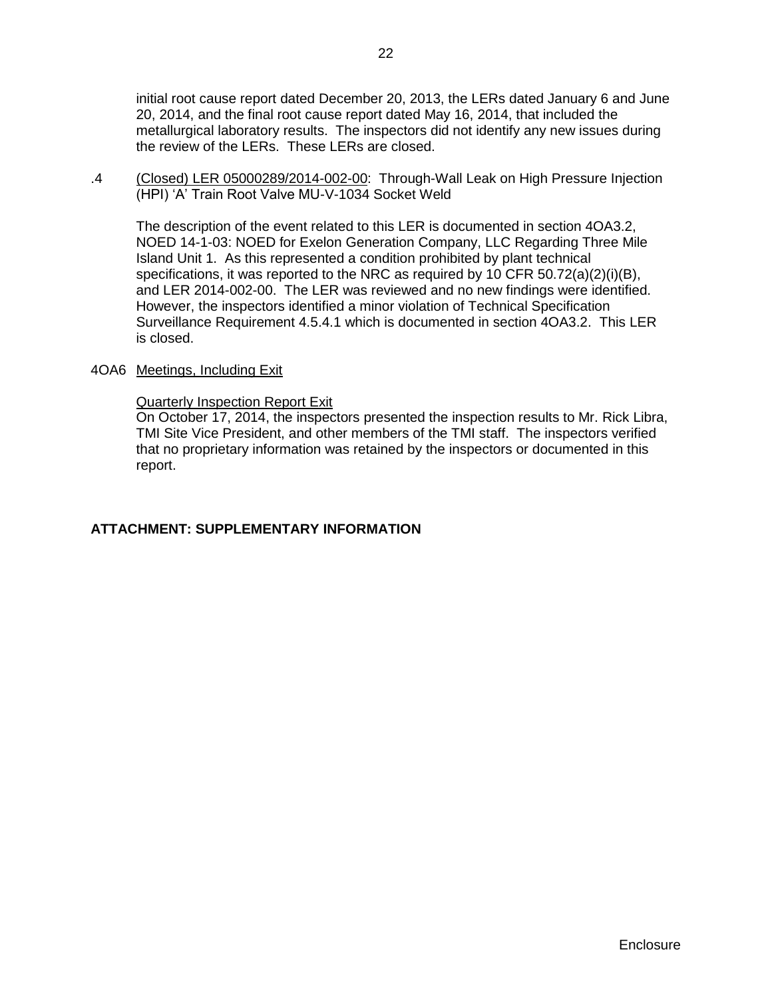initial root cause report dated December 20, 2013, the LERs dated January 6 and June 20, 2014, and the final root cause report dated May 16, 2014, that included the metallurgical laboratory results. The inspectors did not identify any new issues during the review of the LERs. These LERs are closed.

.4 (Closed) LER 05000289/2014-002-00: Through-Wall Leak on High Pressure Injection (HPI) 'A' Train Root Valve MU-V-1034 Socket Weld

The description of the event related to this LER is documented in section 4OA3.2, NOED 14-1-03: NOED for Exelon Generation Company, LLC Regarding Three Mile Island Unit 1. As this represented a condition prohibited by plant technical specifications, it was reported to the NRC as required by 10 CFR 50.72(a)(2)(i)(B), and LER 2014-002-00. The LER was reviewed and no new findings were identified. However, the inspectors identified a minor violation of Technical Specification Surveillance Requirement 4.5.4.1 which is documented in section 4OA3.2. This LER is closed.

### <span id="page-24-0"></span>4OA6 Meetings, Including Exit

### Quarterly Inspection Report Exit

On October 17, 2014, the inspectors presented the inspection results to Mr. Rick Libra, TMI Site Vice President, and other members of the TMI staff. The inspectors verified that no proprietary information was retained by the inspectors or documented in this report.

### <span id="page-24-1"></span>**ATTACHMENT: SUPPLEMENTARY INFORMATION**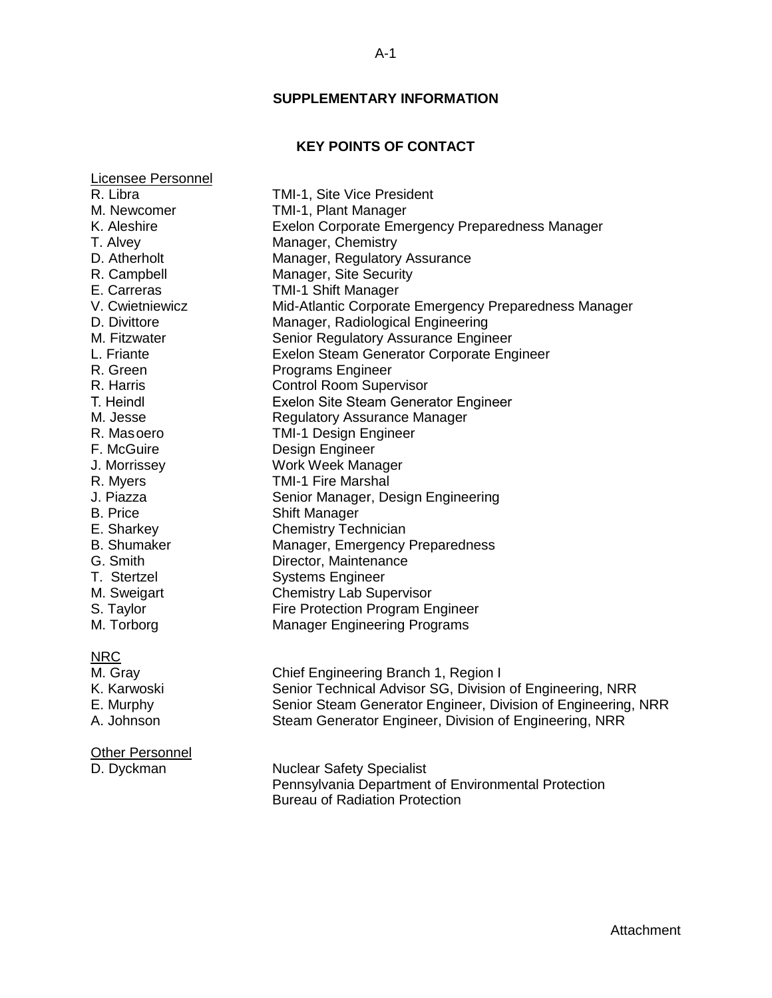### **SUPPLEMENTARY INFORMATION**

## **KEY POINTS OF CONTACT**

<span id="page-25-1"></span><span id="page-25-0"></span>Licensee Personnel R. Libra TMI-1, Site Vice President M. Newcomer TMI-1, Plant Manager K. Aleshire **EXelon Corporate Emergency Preparedness Manager** K. Aleshire T. Alvey Manager, Chemistry D. Atherholt Manager, Regulatory Assurance R. Campbell Manager, Site Security E. Carreras TMI-1 Shift Manager V. Cwietniewicz Mid-Atlantic Corporate Emergency Preparedness Manager D. Divittore Manager, Radiological Engineering M. Fitzwater Senior Regulatory Assurance Engineer L. Friante **Exelon Steam Generator Corporate Engineer** R. Green Programs Engineer R. Harris Control Room Supervisor T. Heindl Exelon Site Steam Generator Engineer M. Jesse Regulatory Assurance Manager R. Masoero TMI-1 Design Engineer F. McGuire **Design Engineer** J. Morrissey Work Week Manager R. Myers TMI-1 Fire Marshal J. Piazza Senior Manager, Design Engineering B. Price Shift Manager E. Sharkey Chemistry Technician B. Shumaker Manager, Emergency Preparedness G. Smith Director, Maintenance T. Stertzel Systems Engineer M. Sweigart **Chemistry Lab Supervisor** S. Taylor Fire Protection Program Engineer<br>M. Torborg Manager Engineering Programs **Manager Engineering Programs** NRC M. Gray Chief Engineering Branch 1, Region I K. Karwoski Senior Technical Advisor SG, Division of Engineering, NRR E. Murphy Senior Steam Generator Engineer, Division of Engineering, NRR A. Johnson Steam Generator Engineer, Division of Engineering, NRR

#### **Other Personnel**

D. Dyckman Nuclear Safety Specialist Pennsylvania Department of Environmental Protection Bureau of Radiation Protection

Attachment

#### A-1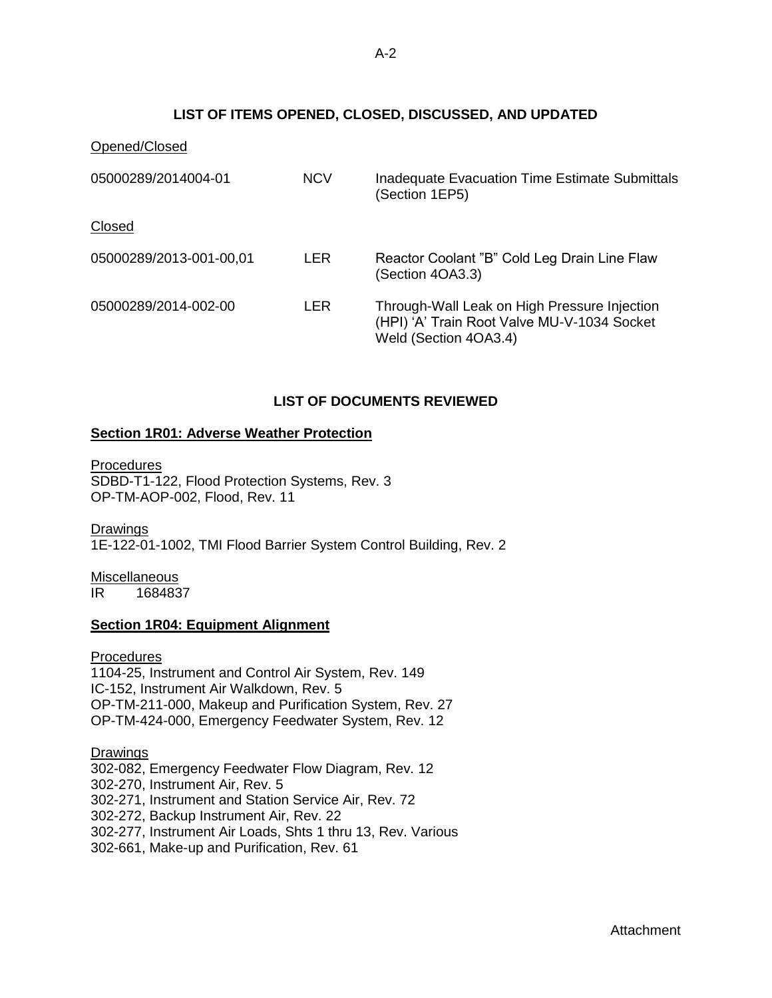## **LIST OF ITEMS OPENED, CLOSED, DISCUSSED, AND UPDATED**

<span id="page-26-0"></span>

| Opened/Closed           |            |                                                                                                                      |
|-------------------------|------------|----------------------------------------------------------------------------------------------------------------------|
| 05000289/2014004-01     | <b>NCV</b> | <b>Inadequate Evacuation Time Estimate Submittals</b><br>(Section 1EP5)                                              |
| Closed                  |            |                                                                                                                      |
| 05000289/2013-001-00,01 | LER        | Reactor Coolant "B" Cold Leg Drain Line Flaw<br>(Section 4OA3.3)                                                     |
| 05000289/2014-002-00    | LER        | Through-Wall Leak on High Pressure Injection<br>(HPI) 'A' Train Root Valve MU-V-1034 Socket<br>Weld (Section 4OA3.4) |

## **LIST OF DOCUMENTS REVIEWED**

### <span id="page-26-1"></span>**Section 1R01: Adverse Weather Protection**

**Procedures** SDBD-T1-122, Flood Protection Systems, Rev. 3 OP-TM-AOP-002, Flood, Rev. 11

Drawings

1E-122-01-1002, TMI Flood Barrier System Control Building, Rev. 2

**Miscellaneous** IR 1684837

## **Section 1R04: Equipment Alignment**

**Procedures** 1104-25, Instrument and Control Air System, Rev. 149 IC-152, Instrument Air Walkdown, Rev. 5 OP-TM-211-000, Makeup and Purification System, Rev. 27 OP-TM-424-000, Emergency Feedwater System, Rev. 12

**Drawings** 302-082, Emergency Feedwater Flow Diagram, Rev. 12 302-270, Instrument Air, Rev. 5 302-271, Instrument and Station Service Air, Rev. 72 302-272, Backup Instrument Air, Rev. 22 302-277, Instrument Air Loads, Shts 1 thru 13, Rev. Various 302-661, Make-up and Purification, Rev. 61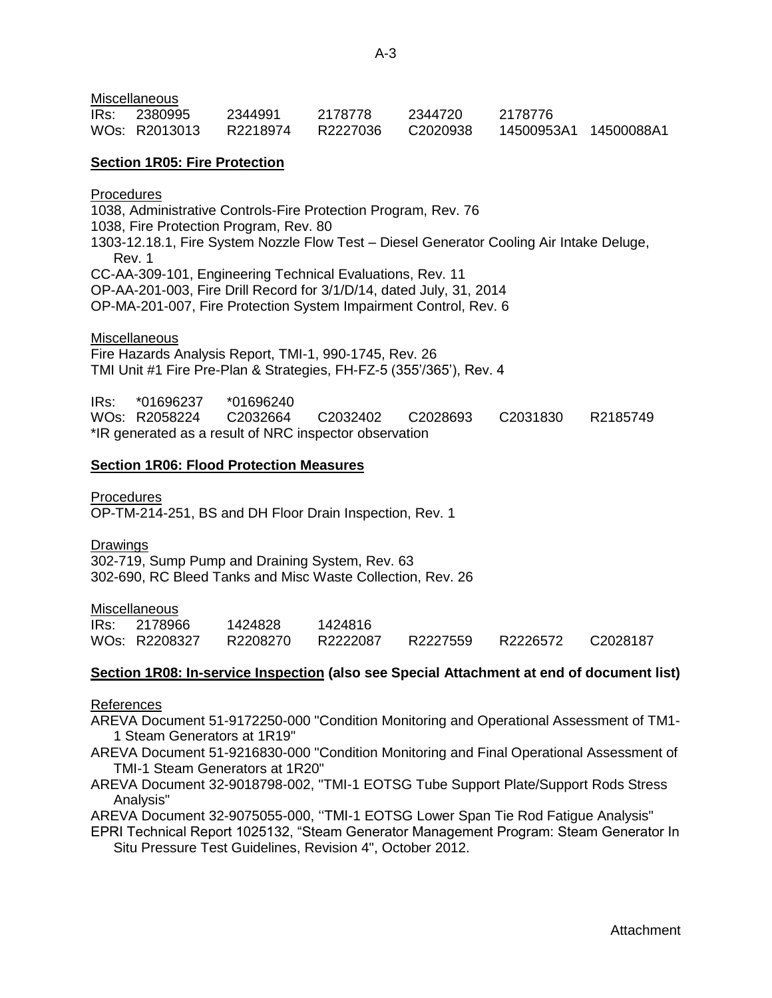**Miscellaneous** 

| IRs: | - 2380995     | 2344991  | 2178778  | 2344720  | 2178776 |  |
|------|---------------|----------|----------|----------|---------|--|
|      | WOs: R2013013 | R2218974 | R2227036 | C2020938 |         |  |

### **Section 1R05: Fire Protection**

Procedures 1038, Administrative Controls-Fire Protection Program, Rev. 76 1038, Fire Protection Program, Rev. 80 1303-12.18.1, Fire System Nozzle Flow Test – Diesel Generator Cooling Air Intake Deluge, Rev. 1 CC-AA-309-101, Engineering Technical Evaluations, Rev. 11 OP-AA-201-003, Fire Drill Record for 3/1/D/14, dated July, 31, 2014

OP-MA-201-007, Fire Protection System Impairment Control, Rev. 6

**Miscellaneous** 

Fire Hazards Analysis Report, TMI-1, 990-1745, Rev. 26 TMI Unit #1 Fire Pre-Plan & Strategies, FH-FZ-5 (355'/365'), Rev. 4

IRs: \*01696237 \*01696240 WOs: R2058224 C2032664 C2032402 C2028693 C2031830 R2185749 \*IR generated as a result of NRC inspector observation

#### **Section 1R06: Flood Protection Measures**

**Procedures** OP-TM-214-251, BS and DH Floor Drain Inspection, Rev. 1

Drawings

302-719, Sump Pump and Draining System, Rev. 63 302-690, RC Bleed Tanks and Misc Waste Collection, Rev. 26

#### **Miscellaneous**

| IRs: 2178966  | 1424828  | 1424816  |          |          |          |
|---------------|----------|----------|----------|----------|----------|
| WOs: R2208327 | R2208270 | R2222087 | R2227559 | R2226572 | C2028187 |

#### **Section 1R08: In-service Inspection (also see Special Attachment at end of document list)**

References

AREVA Document 51-9172250-000 "Condition Monitoring and Operational Assessment of TM1- 1 Steam Generators at 1R19"

AREVA Document 51-9216830-000 "Condition Monitoring and Final Operational Assessment of TMI-1 Steam Generators at 1R20"

AREVA Document 32-9018798-002, ''TMI-1 EOTSG Tube Support Plate/Support Rods Stress Analysis"

AREVA Document 32-9075055-000, ''TMI-1 EOTSG Lower Span Tie Rod Fatigue Analysis"

EPRI Technical Report 1025132, "Steam Generator Management Program: Steam Generator In Situ Pressure Test Guidelines, Revision 4", October 2012.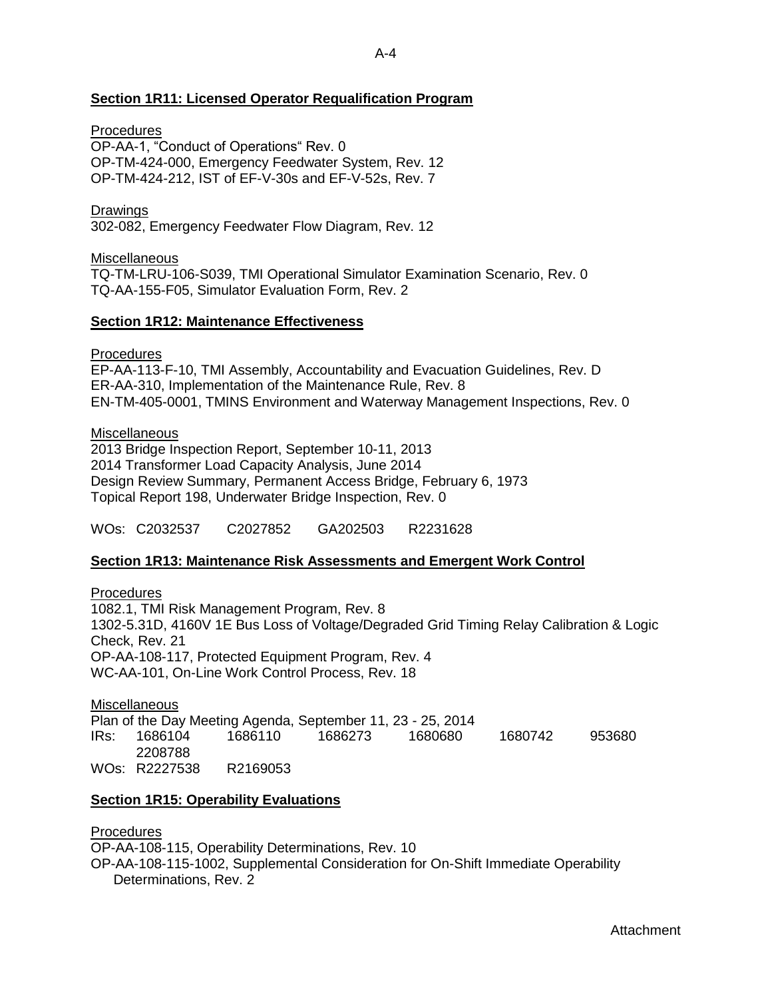## **Section 1R11: Licensed Operator Requalification Program**

### **Procedures**

OP-AA-1, "Conduct of Operations" Rev. 0 OP-TM-424-000, Emergency Feedwater System, Rev. 12 OP-TM-424-212, IST of EF-V-30s and EF-V-52s, Rev. 7

### Drawings

302-082, Emergency Feedwater Flow Diagram, Rev. 12

Miscellaneous TQ-TM-LRU-106-S039, TMI Operational Simulator Examination Scenario, Rev. 0 TQ-AA-155-F05, Simulator Evaluation Form, Rev. 2

### **Section 1R12: Maintenance Effectiveness**

### Procedures

EP-AA-113-F-10, TMI Assembly, Accountability and Evacuation Guidelines, Rev. D ER-AA-310, Implementation of the Maintenance Rule, Rev. 8 EN-TM-405-0001, TMINS Environment and Waterway Management Inspections, Rev. 0

**Miscellaneous** 

2013 Bridge Inspection Report, September 10-11, 2013 2014 Transformer Load Capacity Analysis, June 2014 Design Review Summary, Permanent Access Bridge, February 6, 1973 Topical Report 198, Underwater Bridge Inspection, Rev. 0

WOs: C2032537 C2027852 GA202503 R2231628

### **Section 1R13: Maintenance Risk Assessments and Emergent Work Control**

**Procedures** 1082.1, TMI Risk Management Program, Rev. 8 1302-5.31D, 4160V 1E Bus Loss of Voltage/Degraded Grid Timing Relay Calibration & Logic Check, Rev. 21 OP-AA-108-117, Protected Equipment Program, Rev. 4 WC-AA-101, On-Line Work Control Process, Rev. 18

**Miscellaneous** Plan of the Day Meeting Agenda, September 11, 23 - 25, 2014 IRs: 1686104 1686110 1686273 1680680 1680742 953680 2208788 WOs: R2227538 R2169053

### **Section 1R15: Operability Evaluations**

### Procedures

OP-AA-108-115, Operability Determinations, Rev. 10 OP-AA-108-115-1002, Supplemental Consideration for On-Shift Immediate Operability Determinations, Rev. 2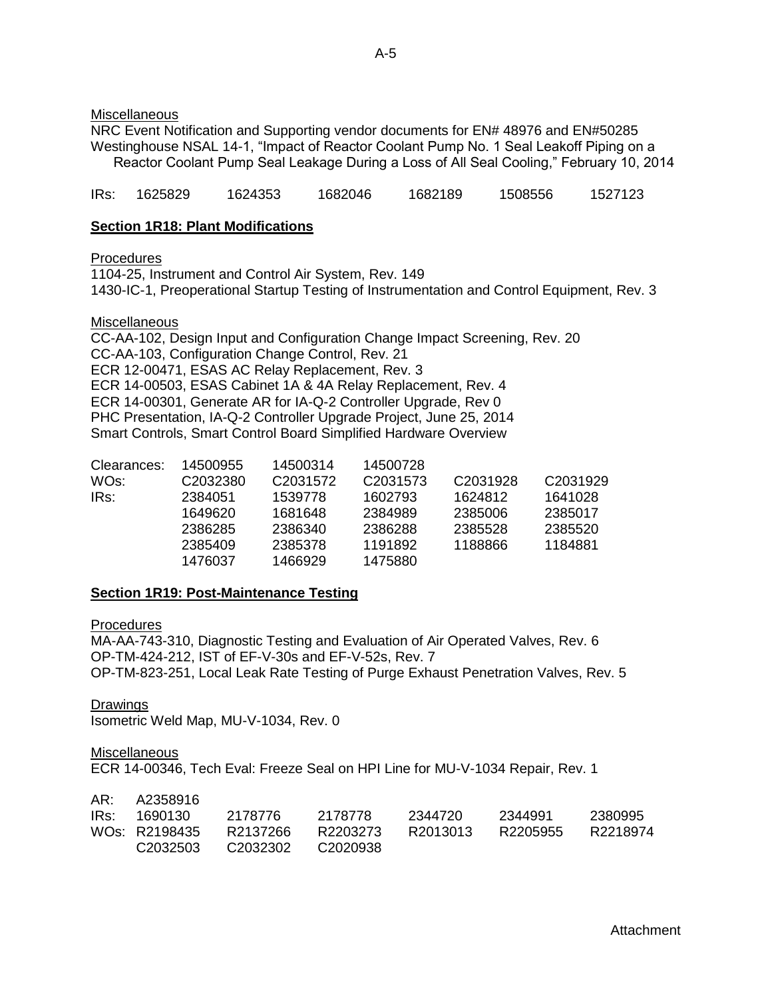**Miscellaneous** 

NRC Event Notification and Supporting vendor documents for EN# 48976 and EN#50285 Westinghouse NSAL 14-1, "Impact of Reactor Coolant Pump No. 1 Seal Leakoff Piping on a Reactor Coolant Pump Seal Leakage During a Loss of All Seal Cooling," February 10, 2014

IRs: 1625829 1624353 1682046 1682189 1508556 1527123

### **Section 1R18: Plant Modifications**

**Procedures** 

1104-25, Instrument and Control Air System, Rev. 149

1430-IC-1, Preoperational Startup Testing of Instrumentation and Control Equipment, Rev. 3

### **Miscellaneous**

CC-AA-102, Design Input and Configuration Change Impact Screening, Rev. 20 CC-AA-103, Configuration Change Control, Rev. 21 ECR 12-00471, ESAS AC Relay Replacement, Rev. 3 ECR 14-00503, ESAS Cabinet 1A & 4A Relay Replacement, Rev. 4 ECR 14-00301, Generate AR for IA-Q-2 Controller Upgrade, Rev 0 PHC Presentation, IA-Q-2 Controller Upgrade Project, June 25, 2014 Smart Controls, Smart Control Board Simplified Hardware Overview

| Clearances: | 14500955 | 14500314             | 14500728             |                      |                      |
|-------------|----------|----------------------|----------------------|----------------------|----------------------|
| WOs:        | C2032380 | C <sub>2031572</sub> | C <sub>2031573</sub> | C <sub>2031928</sub> | C <sub>2031929</sub> |
| IRs:        | 2384051  | 1539778              | 1602793              | 1624812              | 1641028              |
|             | 1649620  | 1681648              | 2384989              | 2385006              | 2385017              |
|             | 2386285  | 2386340              | 2386288              | 2385528              | 2385520              |
|             | 2385409  | 2385378              | 1191892              | 1188866              | 1184881              |
|             | 1476037  | 1466929              | 1475880              |                      |                      |
|             |          |                      |                      |                      |                      |

### **Section 1R19: Post-Maintenance Testing**

**Procedures** 

MA-AA-743-310, Diagnostic Testing and Evaluation of Air Operated Valves, Rev. 6 OP-TM-424-212, IST of EF-V-30s and EF-V-52s, Rev. 7 OP-TM-823-251, Local Leak Rate Testing of Purge Exhaust Penetration Valves, Rev. 5

**Drawings** 

Isometric Weld Map, MU-V-1034, Rev. 0

**Miscellaneous** 

ECR 14-00346, Tech Eval: Freeze Seal on HPI Line for MU-V-1034 Repair, Rev. 1

| AR: A2358916               |                   |          |          |          |          |
|----------------------------|-------------------|----------|----------|----------|----------|
| IRs: 1690130               | 2178776           | 2178778  | 2344720  | 2344991  | -2380995 |
| WO <sub>S</sub> : R2198435 | R2137266          | R2203273 | R2013013 | R2205955 | R2218974 |
| C <sub>2032503</sub>       | C2032302 C2020938 |          |          |          |          |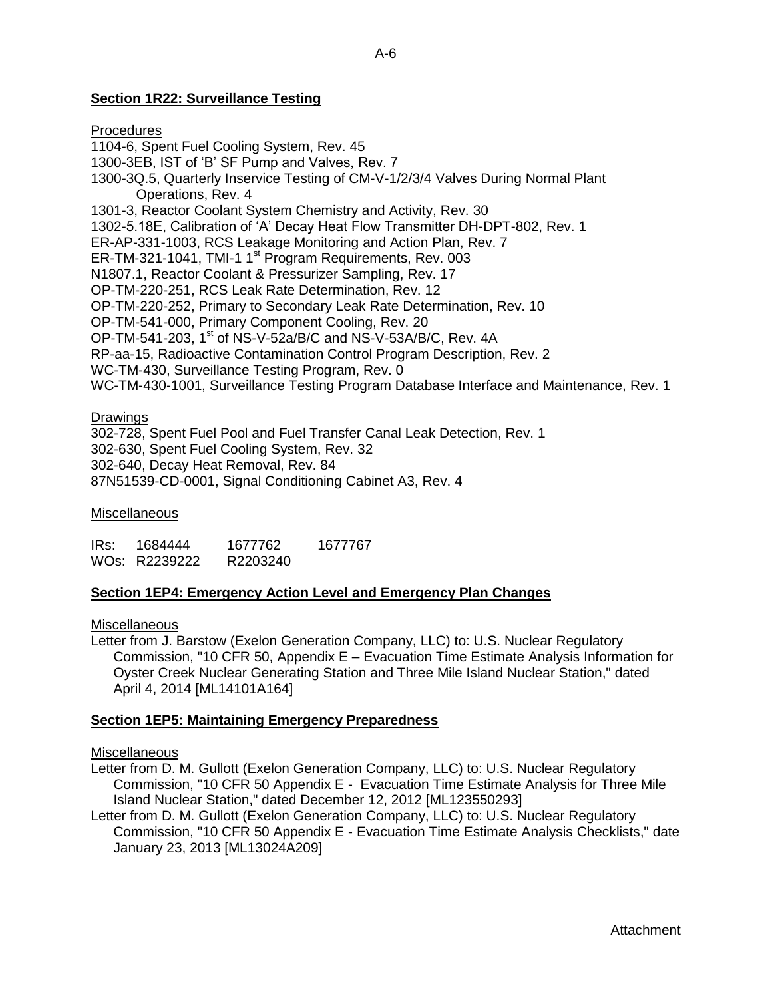## **Section 1R22: Surveillance Testing**

## **Procedures** 1104-6, Spent Fuel Cooling System, Rev. 45 1300-3EB, IST of 'B' SF Pump and Valves, Rev. 7 1300-3Q.5, Quarterly Inservice Testing of CM-V-1/2/3/4 Valves During Normal Plant Operations, Rev. 4 1301-3, Reactor Coolant System Chemistry and Activity, Rev. 30 1302-5.18E, Calibration of 'A' Decay Heat Flow Transmitter DH-DPT-802, Rev. 1 ER-AP-331-1003, RCS Leakage Monitoring and Action Plan, Rev. 7 ER-TM-321-1041, TMI-1 1<sup>st</sup> Program Requirements, Rev. 003 N1807.1, Reactor Coolant & Pressurizer Sampling, Rev. 17 OP-TM-220-251, RCS Leak Rate Determination, Rev. 12 OP-TM-220-252, Primary to Secondary Leak Rate Determination, Rev. 10 OP-TM-541-000, Primary Component Cooling, Rev. 20 OP-TM-541-203,  $1<sup>st</sup>$  of NS-V-52a/B/C and NS-V-53A/B/C, Rev. 4A RP-aa-15, Radioactive Contamination Control Program Description, Rev. 2 WC-TM-430, Surveillance Testing Program, Rev. 0

WC-TM-430-1001, Surveillance Testing Program Database Interface and Maintenance, Rev. 1

### **Drawings**

302-728, Spent Fuel Pool and Fuel Transfer Canal Leak Detection, Rev. 1 302-630, Spent Fuel Cooling System, Rev. 32 302-640, Decay Heat Removal, Rev. 84 87N51539-CD-0001, Signal Conditioning Cabinet A3, Rev. 4

#### **Miscellaneous**

IRs: 1684444 1677762 1677767 WOs: R2239222 R2203240

### **Section 1EP4: Emergency Action Level and Emergency Plan Changes**

### **Miscellaneous**

Letter from J. Barstow (Exelon Generation Company, LLC) to: U.S. Nuclear Regulatory Commission, "10 CFR 50, Appendix E – Evacuation Time Estimate Analysis Information for Oyster Creek Nuclear Generating Station and Three Mile Island Nuclear Station," dated April 4, 2014 [ML14101A164]

### **Section 1EP5: Maintaining Emergency Preparedness**

#### **Miscellaneous**

- Letter from D. M. Gullott (Exelon Generation Company, LLC) to: U.S. Nuclear Regulatory Commission, "10 CFR 50 Appendix E - Evacuation Time Estimate Analysis for Three Mile Island Nuclear Station," dated December 12, 2012 [ML123550293]
- Letter from D. M. Gullott (Exelon Generation Company, LLC) to: U.S. Nuclear Regulatory Commission, "10 CFR 50 Appendix E - Evacuation Time Estimate Analysis Checklists," date January 23, 2013 [ML13024A209]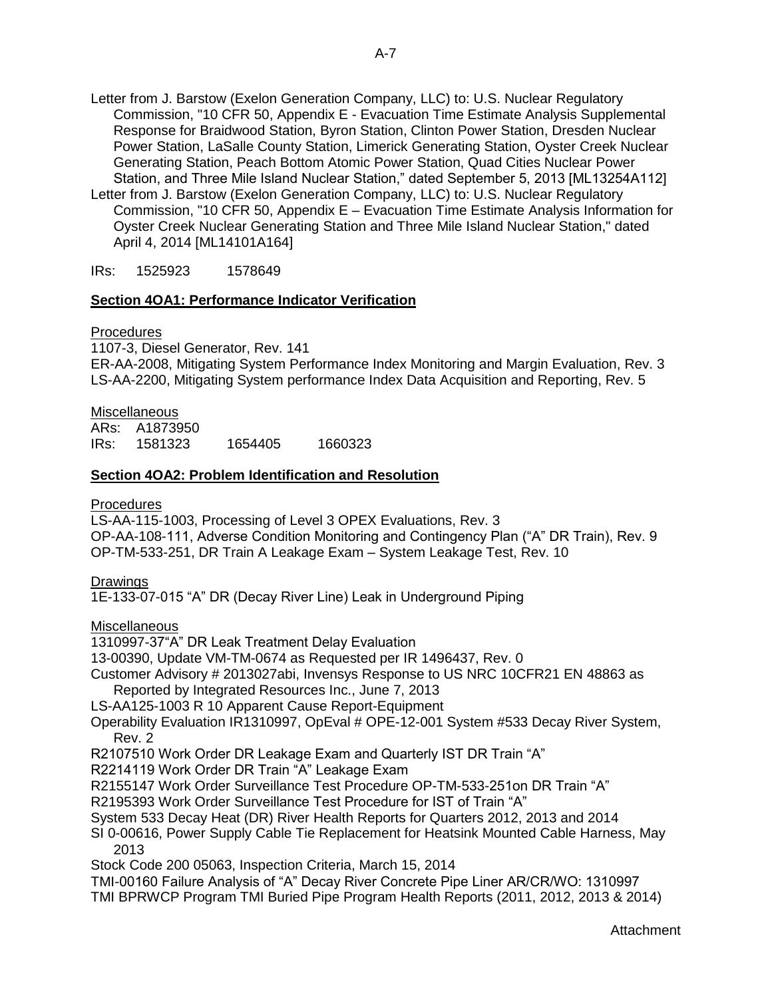Letter from J. Barstow (Exelon Generation Company, LLC) to: U.S. Nuclear Regulatory Commission, "10 CFR 50, Appendix E - Evacuation Time Estimate Analysis Supplemental Response for Braidwood Station, Byron Station, Clinton Power Station, Dresden Nuclear Power Station, LaSalle County Station, Limerick Generating Station, Oyster Creek Nuclear Generating Station, Peach Bottom Atomic Power Station, Quad Cities Nuclear Power Station, and Three Mile Island Nuclear Station," dated September 5, 2013 [ML13254A112]

Letter from J. Barstow (Exelon Generation Company, LLC) to: U.S. Nuclear Regulatory Commission, "10 CFR 50, Appendix E – Evacuation Time Estimate Analysis Information for Oyster Creek Nuclear Generating Station and Three Mile Island Nuclear Station," dated April 4, 2014 [ML14101A164]

IRs: 1525923 1578649

## **Section 4OA1: Performance Indicator Verification**

### **Procedures**

1107-3, Diesel Generator, Rev. 141 ER-AA-2008, Mitigating System Performance Index Monitoring and Margin Evaluation, Rev. 3 LS-AA-2200, Mitigating System performance Index Data Acquisition and Reporting, Rev. 5

**Miscellaneous** 

ARs: A1873950

IRs: 1581323 1654405 1660323

## **Section 4OA2: Problem Identification and Resolution**

## Procedures

LS-AA-115-1003, Processing of Level 3 OPEX Evaluations, Rev. 3 OP-AA-108-111, Adverse Condition Monitoring and Contingency Plan ("A" DR Train), Rev. 9 OP-TM-533-251, DR Train A Leakage Exam – System Leakage Test, Rev. 10

## **Drawings**

1E-133-07-015 "A" DR (Decay River Line) Leak in Underground Piping

**Miscellaneous** 

1310997-37"A" DR Leak Treatment Delay Evaluation

13-00390, Update VM-TM-0674 as Requested per IR 1496437, Rev. 0

- Customer Advisory # 2013027abi, Invensys Response to US NRC 10CFR21 EN 48863 as Reported by Integrated Resources Inc., June 7, 2013
- LS-AA125-1003 R 10 Apparent Cause Report-Equipment

Operability Evaluation IR1310997, OpEval # OPE-12-001 System #533 Decay River System, Rev. 2

R2107510 Work Order DR Leakage Exam and Quarterly IST DR Train "A"

R2214119 Work Order DR Train "A" Leakage Exam

R2155147 Work Order Surveillance Test Procedure OP-TM-533-251on DR Train "A"

R2195393 Work Order Surveillance Test Procedure for IST of Train "A"

System 533 Decay Heat (DR) River Health Reports for Quarters 2012, 2013 and 2014

SI 0-00616, Power Supply Cable Tie Replacement for Heatsink Mounted Cable Harness, May 2013

Stock Code 200 05063, Inspection Criteria, March 15, 2014

TMI-00160 Failure Analysis of "A" Decay River Concrete Pipe Liner AR/CR/WO: 1310997 TMI BPRWCP Program TMI Buried Pipe Program Health Reports (2011, 2012, 2013 & 2014)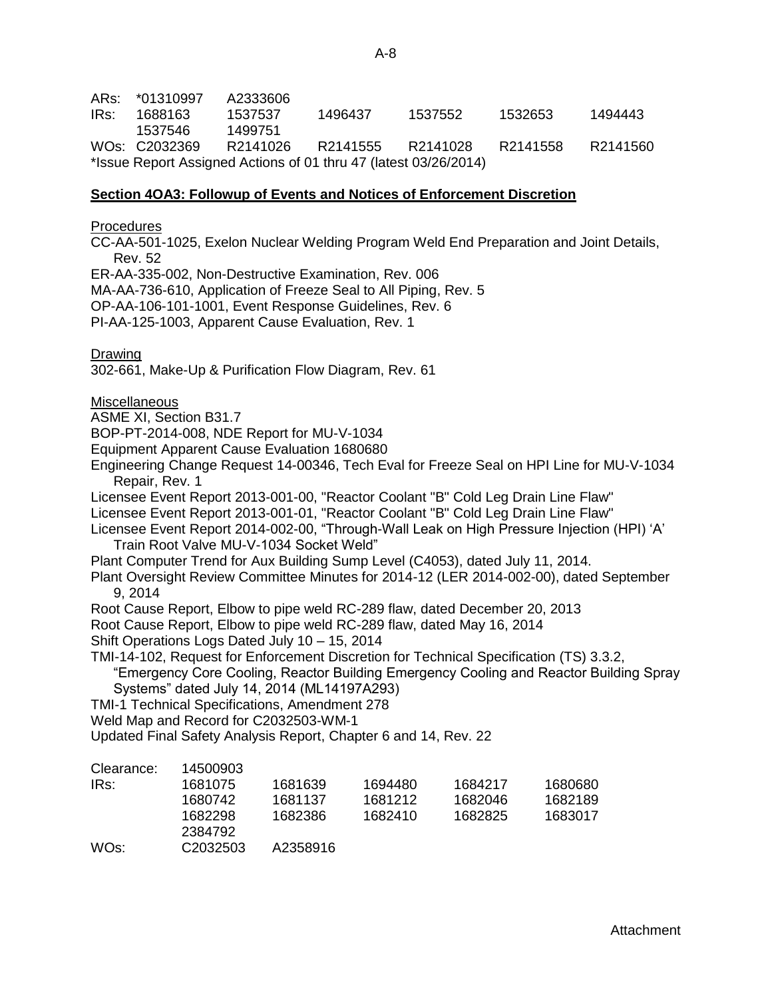ARs: \*01310997 A2333606 IRs: 1688163 1537537 1496437 1537552 1532653 1494443 1537546 1499751 WOs: C2032369 R2141026 R2141555 R2141028 R2141558 R2141560 \*Issue Report Assigned Actions of 01 thru 47 (latest 03/26/2014)

### **Section 4OA3: Followup of Events and Notices of Enforcement Discretion**

**Procedures** 

CC-AA-501-1025, Exelon Nuclear Welding Program Weld End Preparation and Joint Details, Rev. 52

ER-AA-335-002, Non-Destructive Examination, Rev. 006

MA-AA-736-610, Application of Freeze Seal to All Piping, Rev. 5

OP-AA-106-101-1001, Event Response Guidelines, Rev. 6

PI-AA-125-1003, Apparent Cause Evaluation, Rev. 1

Drawing

302-661, Make-Up & Purification Flow Diagram, Rev. 61

**Miscellaneous** 

ASME XI, Section B31.7

BOP-PT-2014-008, NDE Report for MU-V-1034

Equipment Apparent Cause Evaluation 1680680

Engineering Change Request 14-00346, Tech Eval for Freeze Seal on HPI Line for MU-V-1034 Repair, Rev. 1

Licensee Event Report 2013-001-00, "Reactor Coolant "B" Cold Leg Drain Line Flaw"

Licensee Event Report 2013-001-01, "Reactor Coolant "B" Cold Leg Drain Line Flaw"

Licensee Event Report 2014-002-00, "Through-Wall Leak on High Pressure Injection (HPI) 'A' Train Root Valve MU-V-1034 Socket Weld"

Plant Computer Trend for Aux Building Sump Level (C4053), dated July 11, 2014.

Plant Oversight Review Committee Minutes for 2014-12 (LER 2014-002-00), dated September 9, 2014

Root Cause Report, Elbow to pipe weld RC-289 flaw, dated December 20, 2013

Root Cause Report, Elbow to pipe weld RC-289 flaw, dated May 16, 2014

Shift Operations Logs Dated July 10 – 15, 2014

TMI-14-102, Request for Enforcement Discretion for Technical Specification (TS) 3.3.2,

"Emergency Core Cooling, Reactor Building Emergency Cooling and Reactor Building Spray Systems" dated July 14, 2014 (ML14197A293)

TMI-1 Technical Specifications, Amendment 278

Weld Map and Record for C2032503-WM-1

Updated Final Safety Analysis Report, Chapter 6 and 14, Rev. 22

| Clearance: | 14500903             |          |         |         |         |
|------------|----------------------|----------|---------|---------|---------|
| IRs:       | 1681075              | 1681639  | 1694480 | 1684217 | 1680680 |
|            | 1680742              | 1681137  | 1681212 | 1682046 | 1682189 |
|            | 1682298              | 1682386  | 1682410 | 1682825 | 1683017 |
|            | 2384792              |          |         |         |         |
| WOs:       | C <sub>2032503</sub> | A2358916 |         |         |         |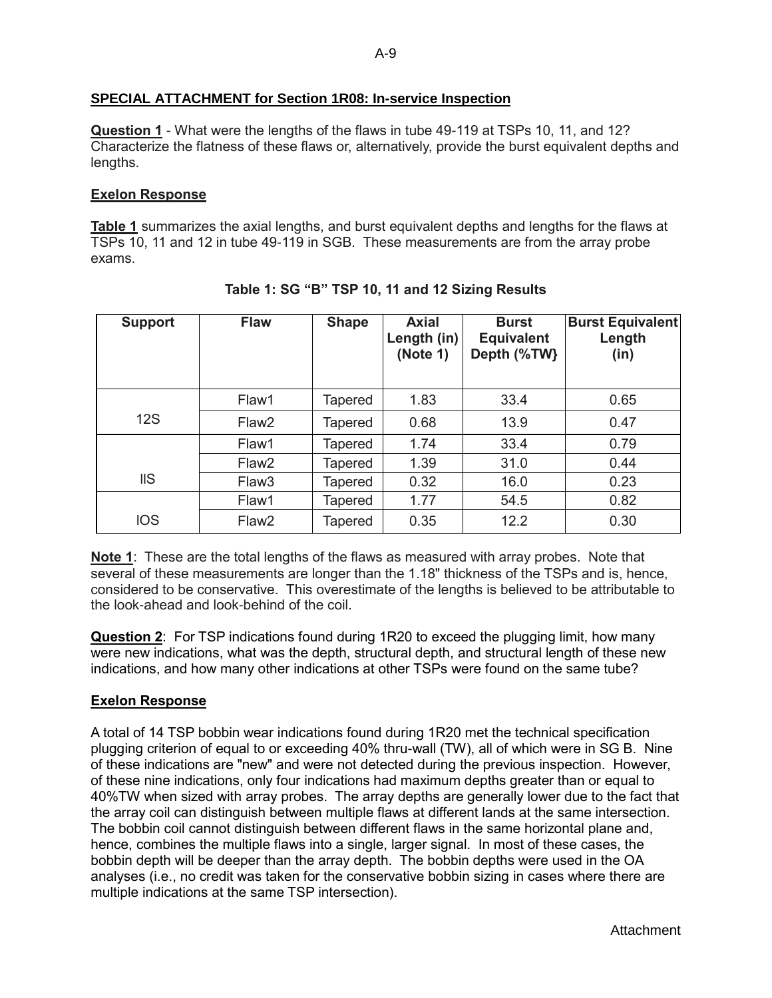## <span id="page-33-0"></span>**SPECIAL ATTACHMENT for Section 1R08: In-service Inspection**

**Question 1** - What were the lengths of the flaws in tube 49-119 at TSPs 10, 11, and 12? Characterize the flatness of these flaws or, alternatively, provide the burst equivalent depths and lengths.

## **Exelon Response**

**Table 1** summarizes the axial lengths, and burst equivalent depths and lengths for the flaws at TSPs 10, 11 and 12 in tube 49-119 in SGB. These measurements are from the array probe exams.

| <b>Support</b> | <b>Flaw</b>       | <b>Shape</b>   | <b>Axial</b><br>Length (in)<br>(Note 1) | <b>Burst</b><br><b>Equivalent</b><br>Depth (%TW} | <b>Burst Equivalent</b><br>Length<br>(in) |
|----------------|-------------------|----------------|-----------------------------------------|--------------------------------------------------|-------------------------------------------|
|                | Flaw1             | Tapered        | 1.83                                    | 33.4                                             | 0.65                                      |
| <b>12S</b>     | Flaw <sub>2</sub> | Tapered        | 0.68                                    | 13.9                                             | 0.47                                      |
|                | Flaw1             | Tapered        | 1.74                                    | 33.4                                             | 0.79                                      |
|                | Flaw <sub>2</sub> | <b>Tapered</b> | 1.39                                    | 31.0                                             | 0.44                                      |
| $\text{IIS}$   | Flaw <sub>3</sub> | Tapered        | 0.32                                    | 16.0                                             | 0.23                                      |
|                | Flaw1             | Tapered        | 1.77                                    | 54.5                                             | 0.82                                      |
| <b>IOS</b>     | Flaw <sub>2</sub> | Tapered        | 0.35                                    | 12.2                                             | 0.30                                      |

**Table 1: SG "B" TSP 10, 11 and 12 Sizing Results**

**Note 1**: These are the total lengths of the flaws as measured with array probes. Note that several of these measurements are longer than the 1.18" thickness of the TSPs and is, hence, considered to be conservative. This overestimate of the lengths is believed to be attributable to the look-ahead and look-behind of the coil.

**Question 2**: For TSP indications found during 1R20 to exceed the plugging limit, how many were new indications, what was the depth, structural depth, and structural length of these new indications, and how many other indications at other TSPs were found on the same tube?

## **Exelon Response**

A total of 14 TSP bobbin wear indications found during 1R20 met the technical specification plugging criterion of equal to or exceeding 40% thru-wall (TW), all of which were in SG B. Nine of these indications are "new" and were not detected during the previous inspection. However, of these nine indications, only four indications had maximum depths greater than or equal to 40%TW when sized with array probes. The array depths are generally lower due to the fact that the array coil can distinguish between multiple flaws at different lands at the same intersection. The bobbin coil cannot distinguish between different flaws in the same horizontal plane and, hence, combines the multiple flaws into a single, larger signal. In most of these cases, the bobbin depth will be deeper than the array depth. The bobbin depths were used in the OA analyses (i.e., no credit was taken for the conservative bobbin sizing in cases where there are multiple indications at the same TSP intersection).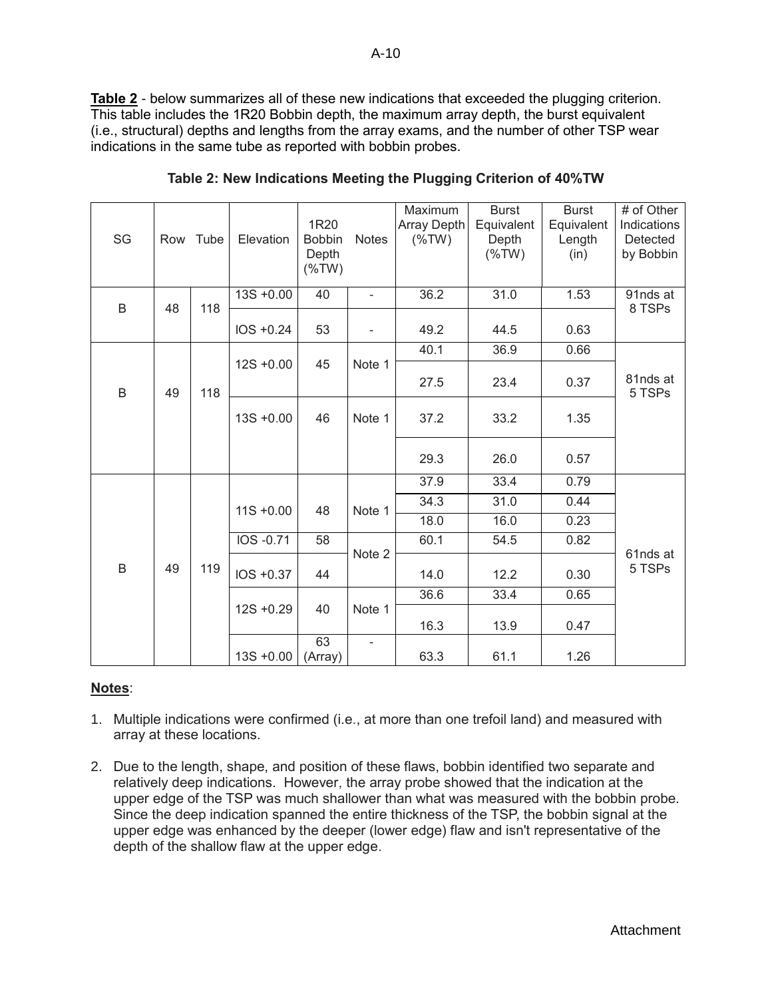**Table 2** - below summarizes all of these new indications that exceeded the plugging criterion. This table includes the 1R20 Bobbin depth, the maximum array depth, the burst equivalent (i.e., structural) depths and lengths from the array exams, and the number of other TSP wear indications in the same tube as reported with bobbin probes.

| SG | Row | Tube | Elevation    | 1R <sub>20</sub><br><b>Bobbin</b><br>Depth<br>$(\%TW)$ | <b>Notes</b>             | Maximum<br>Array Depth<br>$(\%TW)$ | <b>Burst</b><br>Equivalent<br>Depth<br>$(\%TW)$ | <b>Burst</b><br>Equivalent<br>Length<br>(in) | # of Other<br>Indications<br>Detected<br>by Bobbin |
|----|-----|------|--------------|--------------------------------------------------------|--------------------------|------------------------------------|-------------------------------------------------|----------------------------------------------|----------------------------------------------------|
| B  | 48  | 118  | $13S + 0.00$ | 40                                                     | $\overline{\phantom{a}}$ | 36.2                               | 31.0                                            | 1.53                                         | 91nds at<br>8 TSPs                                 |
|    |     |      | IOS +0.24    | 53                                                     | ۰                        | 49.2                               | 44.5                                            | 0.63                                         |                                                    |
|    |     |      |              |                                                        |                          | 40.1                               | 36.9                                            | 0.66                                         |                                                    |
| B  | 49  | 118  | $12S + 0.00$ | 45                                                     | Note 1                   | 27.5                               | 23.4                                            | 0.37                                         | 81nds at<br>5 TSPs                                 |
|    |     |      | $13S + 0.00$ | 46                                                     | Note 1                   | 37.2                               | 33.2                                            | 1.35                                         |                                                    |
|    |     |      |              |                                                        |                          | 29.3                               | 26.0                                            | 0.57                                         |                                                    |
|    |     |      |              |                                                        |                          | 37.9                               | 33.4                                            | 0.79                                         |                                                    |
|    |     |      | $11S + 0.00$ | 48                                                     | Note 1                   | 34.3                               | 31.0                                            | 0.44                                         |                                                    |
|    |     |      |              |                                                        |                          | 18.0                               | 16.0                                            | 0.23                                         |                                                    |
|    |     |      | IOS -0.71    | 58                                                     |                          | 60.1                               | 54.5                                            | 0.82                                         |                                                    |
| B  | 49  | 119  | IOS +0.37    | 44                                                     | Note 2                   | 14.0                               | 12.2                                            | 0.30                                         | 61nds at<br>5 TSPs                                 |
|    |     |      |              |                                                        |                          | 36.6                               | 33.4                                            | 0.65                                         |                                                    |
|    |     |      | $12S + 0.29$ | 40                                                     | Note 1                   | 16.3                               | 13.9                                            | 0.47                                         |                                                    |
|    |     |      | $13S + 0.00$ | 63<br>(Array)                                          | ٠                        | 63.3                               | 61.1                                            | 1.26                                         |                                                    |

**Table 2: New Indications Meeting the Plugging Criterion of 40%TW**

# **Notes**:

- 1. Multiple indications were confirmed (i.e., at more than one trefoil land) and measured with array at these locations.
- 2. Due to the length, shape, and position of these flaws, bobbin identified two separate and relatively deep indications. However, the array probe showed that the indication at the upper edge of the TSP was much shallower than what was measured with the bobbin probe. Since the deep indication spanned the entire thickness of the TSP, the bobbin signal at the upper edge was enhanced by the deeper (lower edge) flaw and isn't representative of the depth of the shallow flaw at the upper edge.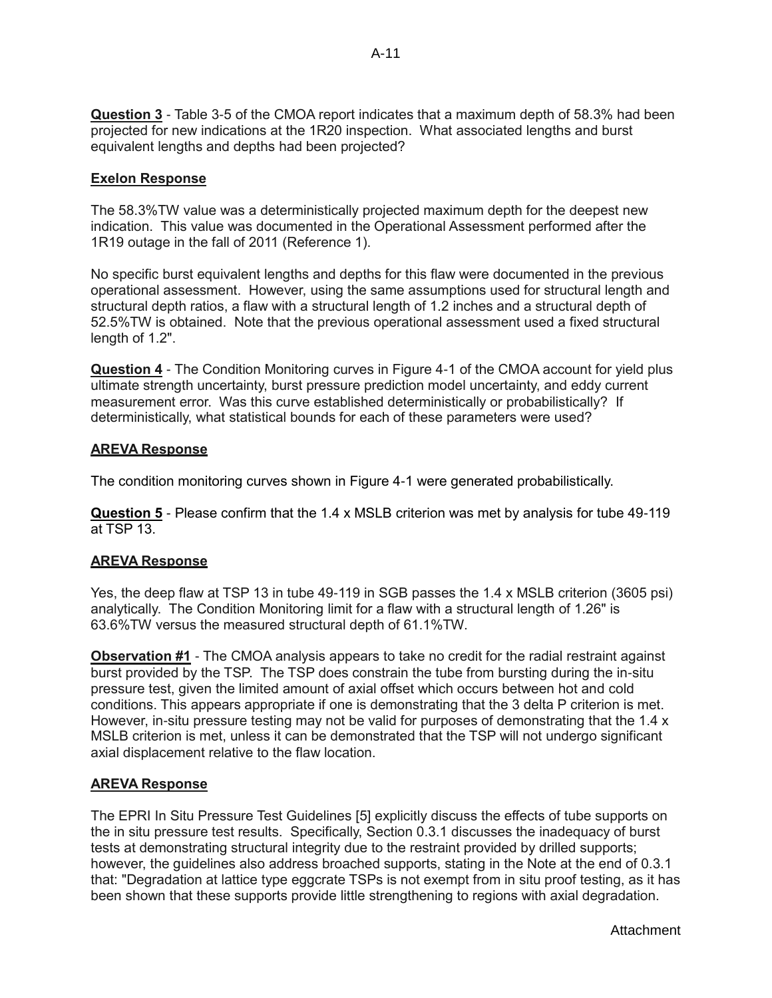**Question 3** - Table 3-5 of the CMOA report indicates that a maximum depth of 58.3% had been projected for new indications at the 1R20 inspection. What associated lengths and burst equivalent lengths and depths had been projected?

## **Exelon Response**

The 58.3%TW value was a deterministically projected maximum depth for the deepest new indication. This value was documented in the Operational Assessment performed after the 1R19 outage in the fall of 2011 (Reference 1).

No specific burst equivalent lengths and depths for this flaw were documented in the previous operational assessment. However, using the same assumptions used for structural length and structural depth ratios, a flaw with a structural length of 1.2 inches and a structural depth of 52.5%TW is obtained. Note that the previous operational assessment used a fixed structural length of 1.2".

**Question 4** - The Condition Monitoring curves in Figure 4-1 of the CMOA account for yield plus ultimate strength uncertainty, burst pressure prediction model uncertainty, and eddy current measurement error. Was this curve established deterministically or probabilistically? If deterministically, what statistical bounds for each of these parameters were used?

## **AREVA Response**

The condition monitoring curves shown in Figure 4-1 were generated probabilistically.

**Question 5** - Please confirm that the 1.4 x MSLB criterion was met by analysis for tube 49-119 at TSP 13.

## **AREVA Response**

Yes, the deep flaw at TSP 13 in tube 49-119 in SGB passes the 1.4 x MSLB criterion (3605 psi) analytically. The Condition Monitoring limit for a flaw with a structural length of 1.26" is 63.6%TW versus the measured structural depth of 61.1%TW.

**Observation #1** - The CMOA analysis appears to take no credit for the radial restraint against burst provided by the TSP. The TSP does constrain the tube from bursting during the in-situ pressure test, given the limited amount of axial offset which occurs between hot and cold conditions. This appears appropriate if one is demonstrating that the 3 delta P criterion is met. However, in-situ pressure testing may not be valid for purposes of demonstrating that the 1.4 x MSLB criterion is met, unless it can be demonstrated that the TSP will not undergo significant axial displacement relative to the flaw location.

### **AREVA Response**

The EPRI In Situ Pressure Test Guidelines [5] explicitly discuss the effects of tube supports on the in situ pressure test results. Specifically, Section 0.3.1 discusses the inadequacy of burst tests at demonstrating structural integrity due to the restraint provided by drilled supports; however, the guidelines also address broached supports, stating in the Note at the end of 0.3.1 that: "Degradation at lattice type eggcrate TSPs is not exempt from in situ proof testing, as it has been shown that these supports provide little strengthening to regions with axial degradation.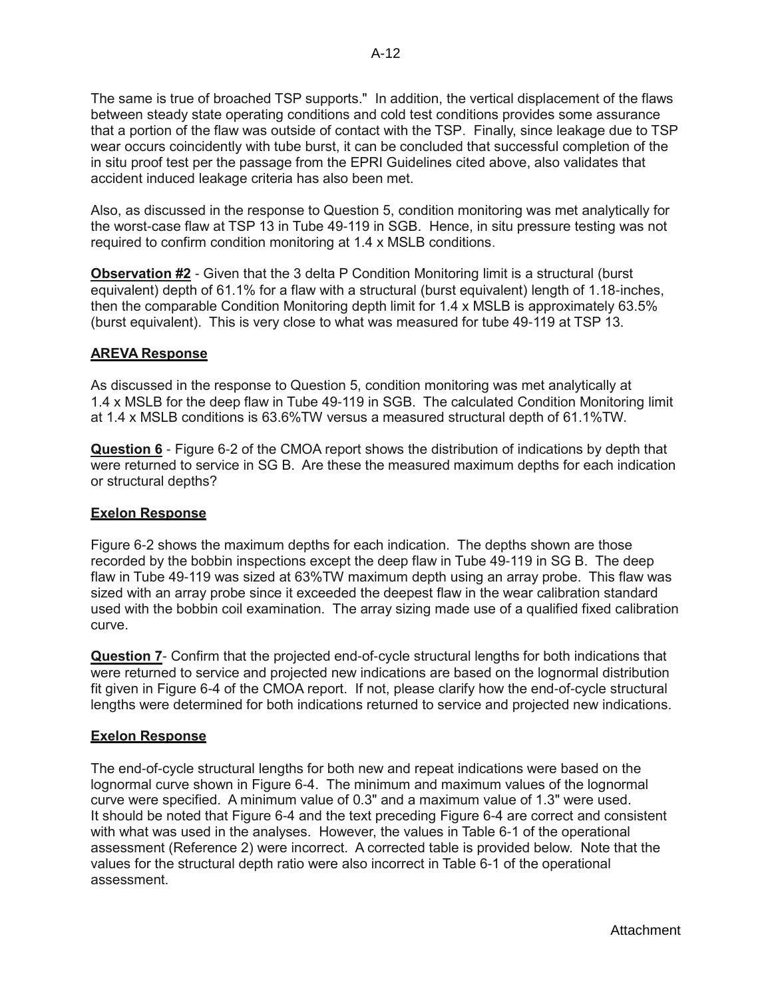The same is true of broached TSP supports." In addition, the vertical displacement of the flaws between steady state operating conditions and cold test conditions provides some assurance that a portion of the flaw was outside of contact with the TSP. Finally, since leakage due to TSP wear occurs coincidently with tube burst, it can be concluded that successful completion of the in situ proof test per the passage from the EPRI Guidelines cited above, also validates that accident induced leakage criteria has also been met.

Also, as discussed in the response to Question 5, condition monitoring was met analytically for the worst-case flaw at TSP 13 in Tube 49-119 in SGB. Hence, in situ pressure testing was not required to confirm condition monitoring at 1.4 x MSLB conditions.

**Observation #2** - Given that the 3 delta P Condition Monitoring limit is a structural (burst equivalent) depth of 61.1% for a flaw with a structural (burst equivalent) length of 1.18-inches, then the comparable Condition Monitoring depth limit for 1.4 x MSLB is approximately 63.5% (burst equivalent). This is very close to what was measured for tube 49-119 at TSP 13.

## **AREVA Response**

As discussed in the response to Question 5, condition monitoring was met analytically at 1.4 x MSLB for the deep flaw in Tube 49-119 in SGB. The calculated Condition Monitoring limit at 1.4 x MSLB conditions is 63.6%TW versus a measured structural depth of 61.1%TW.

**Question 6** - Figure 6-2 of the CMOA report shows the distribution of indications by depth that were returned to service in SG B. Are these the measured maximum depths for each indication or structural depths?

## **Exelon Response**

Figure 6-2 shows the maximum depths for each indication. The depths shown are those recorded by the bobbin inspections except the deep flaw in Tube 49-119 in SG B. The deep flaw in Tube 49-119 was sized at 63%TW maximum depth using an array probe. This flaw was sized with an array probe since it exceeded the deepest flaw in the wear calibration standard used with the bobbin coil examination. The array sizing made use of a qualified fixed calibration curve.

**Question 7**- Confirm that the projected end-of-cycle structural lengths for both indications that were returned to service and projected new indications are based on the lognormal distribution fit given in Figure 6-4 of the CMOA report. If not, please clarify how the end-of-cycle structural lengths were determined for both indications returned to service and projected new indications.

## **Exelon Response**

The end-of-cycle structural lengths for both new and repeat indications were based on the lognormal curve shown in Figure 6-4. The minimum and maximum values of the lognormal curve were specified. A minimum value of 0.3" and a maximum value of 1.3" were used. It should be noted that Figure 6-4 and the text preceding Figure 6-4 are correct and consistent with what was used in the analyses. However, the values in Table 6-1 of the operational assessment (Reference 2) were incorrect. A corrected table is provided below. Note that the values for the structural depth ratio were also incorrect in Table 6-1 of the operational assessment.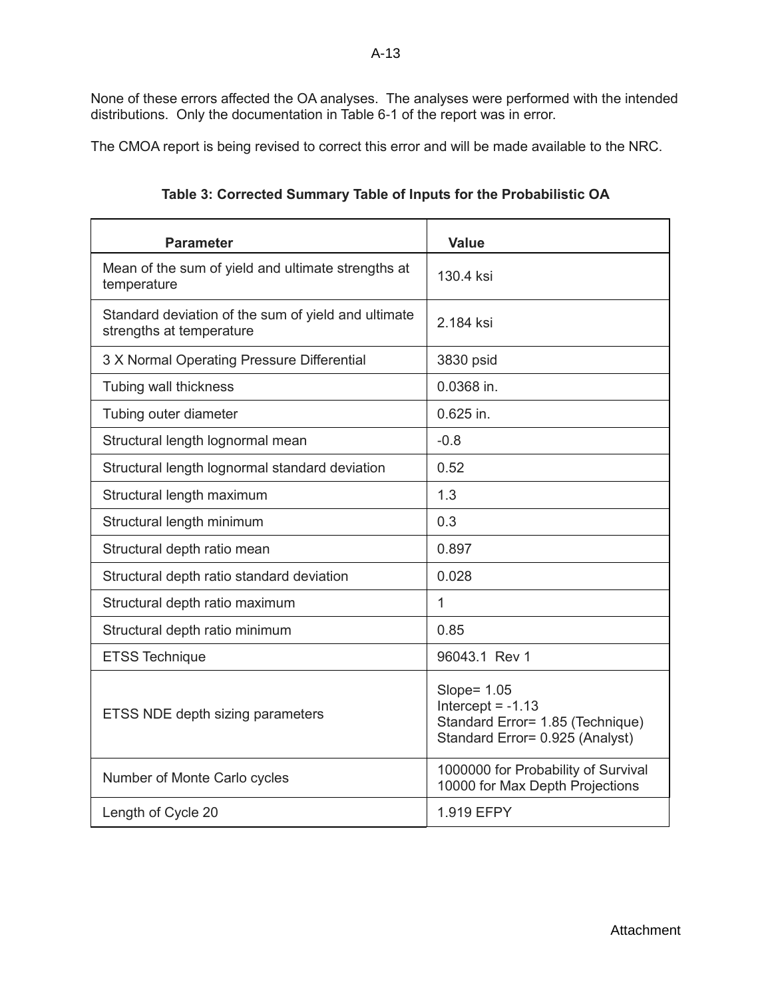None of these errors affected the OA analyses. The analyses were performed with the intended distributions. Only the documentation in Table 6-1 of the report was in error.

The CMOA report is being revised to correct this error and will be made available to the NRC.

| <b>Parameter</b>                                                                | <b>Value</b>                                                                                              |
|---------------------------------------------------------------------------------|-----------------------------------------------------------------------------------------------------------|
| Mean of the sum of yield and ultimate strengths at<br>temperature               | 130.4 ksi                                                                                                 |
| Standard deviation of the sum of yield and ultimate<br>strengths at temperature | 2.184 ksi                                                                                                 |
| 3 X Normal Operating Pressure Differential                                      | 3830 psid                                                                                                 |
| Tubing wall thickness                                                           | 0.0368 in.                                                                                                |
| Tubing outer diameter                                                           | $0.625$ in.                                                                                               |
| Structural length lognormal mean                                                | $-0.8$                                                                                                    |
| Structural length lognormal standard deviation                                  | 0.52                                                                                                      |
| Structural length maximum                                                       | 1.3                                                                                                       |
| Structural length minimum                                                       | 0.3                                                                                                       |
| Structural depth ratio mean                                                     | 0.897                                                                                                     |
| Structural depth ratio standard deviation                                       | 0.028                                                                                                     |
| Structural depth ratio maximum                                                  | $\mathbf 1$                                                                                               |
| Structural depth ratio minimum                                                  | 0.85                                                                                                      |
| <b>ETSS Technique</b>                                                           | 96043.1 Rev 1                                                                                             |
| ETSS NDE depth sizing parameters                                                | Slope= 1.05<br>Intercept = $-1.13$<br>Standard Error= 1.85 (Technique)<br>Standard Error= 0.925 (Analyst) |
| Number of Monte Carlo cycles                                                    | 1000000 for Probability of Survival<br>10000 for Max Depth Projections                                    |
| Length of Cycle 20                                                              | 1.919 EFPY                                                                                                |

**Table 3: Corrected Summary Table of Inputs for the Probabilistic OA**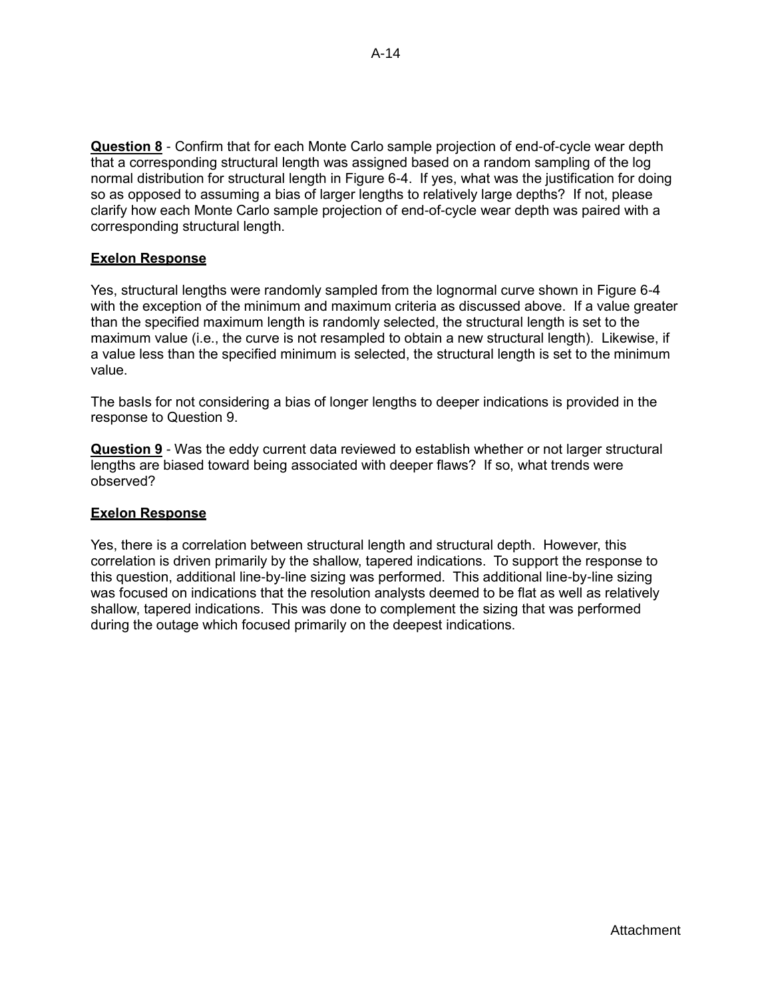**Question 8** - Confirm that for each Monte Carlo sample projection of end-of-cycle wear depth that a corresponding structural length was assigned based on a random sampling of the log normal distribution for structural length in Figure 6-4. If yes, what was the justification for doing so as opposed to assuming a bias of larger lengths to relatively large depths? If not, please clarify how each Monte Carlo sample projection of end-of-cycle wear depth was paired with a corresponding structural length.

## **Exelon Response**

Yes, structural lengths were randomly sampled from the lognormal curve shown in Figure 6-4 with the exception of the minimum and maximum criteria as discussed above. If a value greater than the specified maximum length is randomly selected, the structural length is set to the maximum value (i.e., the curve is not resampled to obtain a new structural length). Likewise, if a value less than the specified minimum is selected, the structural length is set to the minimum value.

The basIs for not considering a bias of longer lengths to deeper indications is provided in the response to Question 9.

**Question 9** - Was the eddy current data reviewed to establish whether or not larger structural lengths are biased toward being associated with deeper flaws? If so, what trends were observed?

### **Exelon Response**

Yes, there is a correlation between structural length and structural depth. However, this correlation is driven primarily by the shallow, tapered indications. To support the response to this question, additional line-by-line sizing was performed. This additional line-by-line sizing was focused on indications that the resolution analysts deemed to be flat as well as relatively shallow, tapered indications. This was done to complement the sizing that was performed during the outage which focused primarily on the deepest indications.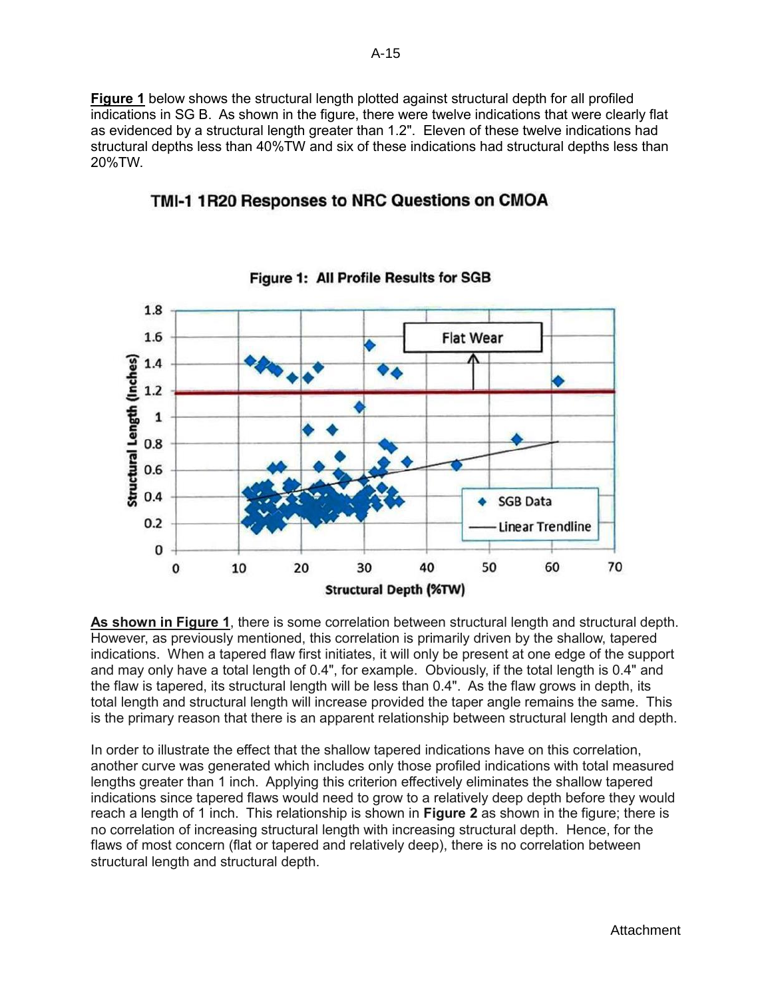**Figure 1** below shows the structural length plotted against structural depth for all profiled indications in SG B. As shown in the figure, there were twelve indications that were clearly flat as evidenced by a structural length greater than 1.2". Eleven of these twelve indications had structural depths less than 40%TW and six of these indications had structural depths less than 20%TW.

# TMI-1 1R20 Responses to NRC Questions on CMOA



**Figure 1: All Profile Results for SGB** 

**As shown in Figure 1**, there is some correlation between structural length and structural depth. However, as previously mentioned, this correlation is primarily driven by the shallow, tapered indications. When a tapered flaw first initiates, it will only be present at one edge of the support and may only have a total length of 0.4", for example. Obviously, if the total length is 0.4" and the flaw is tapered, its structural length will be less than 0.4". As the flaw grows in depth, its total length and structural length will increase provided the taper angle remains the same. This is the primary reason that there is an apparent relationship between structural length and depth.

In order to illustrate the effect that the shallow tapered indications have on this correlation, another curve was generated which includes only those profiled indications with total measured lengths greater than 1 inch. Applying this criterion effectively eliminates the shallow tapered indications since tapered flaws would need to grow to a relatively deep depth before they would reach a length of 1 inch. This relationship is shown in **Figure 2** as shown in the figure; there is no correlation of increasing structural length with increasing structural depth. Hence, for the flaws of most concern (flat or tapered and relatively deep), there is no correlation between structural length and structural depth.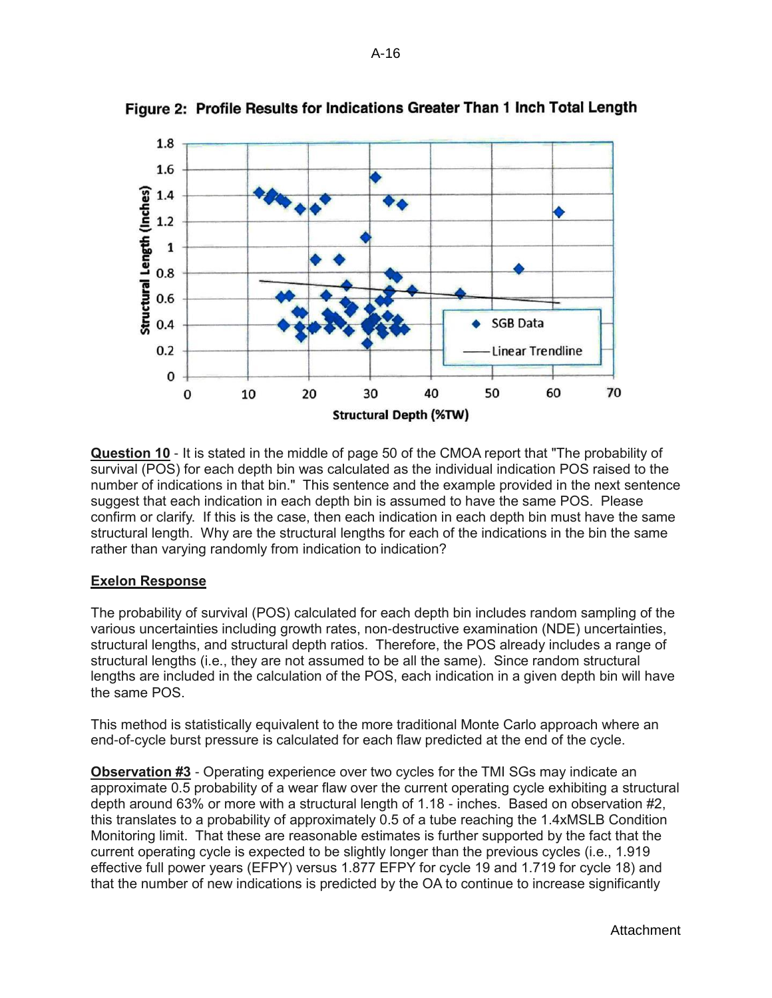

Figure 2: Profile Results for Indications Greater Than 1 Inch Total Length

**Question 10** - It is stated in the middle of page 50 of the CMOA report that "The probability of survival (POS) for each depth bin was calculated as the individual indication POS raised to the number of indications in that bin." This sentence and the example provided in the next sentence suggest that each indication in each depth bin is assumed to have the same POS. Please confirm or clarify. If this is the case, then each indication in each depth bin must have the same structural length. Why are the structural lengths for each of the indications in the bin the same rather than varying randomly from indication to indication?

### **Exelon Response**

The probability of survival (POS) calculated for each depth bin includes random sampling of the various uncertainties including growth rates, non-destructive examination (NDE) uncertainties, structural lengths, and structural depth ratios. Therefore, the POS already includes a range of structural lengths (i.e., they are not assumed to be all the same). Since random structural lengths are included in the calculation of the POS, each indication in a given depth bin will have the same POS.

This method is statistically equivalent to the more traditional Monte Carlo approach where an end-of-cycle burst pressure is calculated for each flaw predicted at the end of the cycle.

**Observation #3** - Operating experience over two cycles for the TMI SGs may indicate an approximate 0.5 probability of a wear flaw over the current operating cycle exhibiting a structural depth around 63% or more with a structural length of 1.18 - inches. Based on observation #2, this translates to a probability of approximately 0.5 of a tube reaching the 1.4xMSLB Condition Monitoring limit. That these are reasonable estimates is further supported by the fact that the current operating cycle is expected to be slightly longer than the previous cycles (i.e., 1.919 effective full power years (EFPY) versus 1.877 EFPY for cycle 19 and 1.719 for cycle 18) and that the number of new indications is predicted by the OA to continue to increase significantly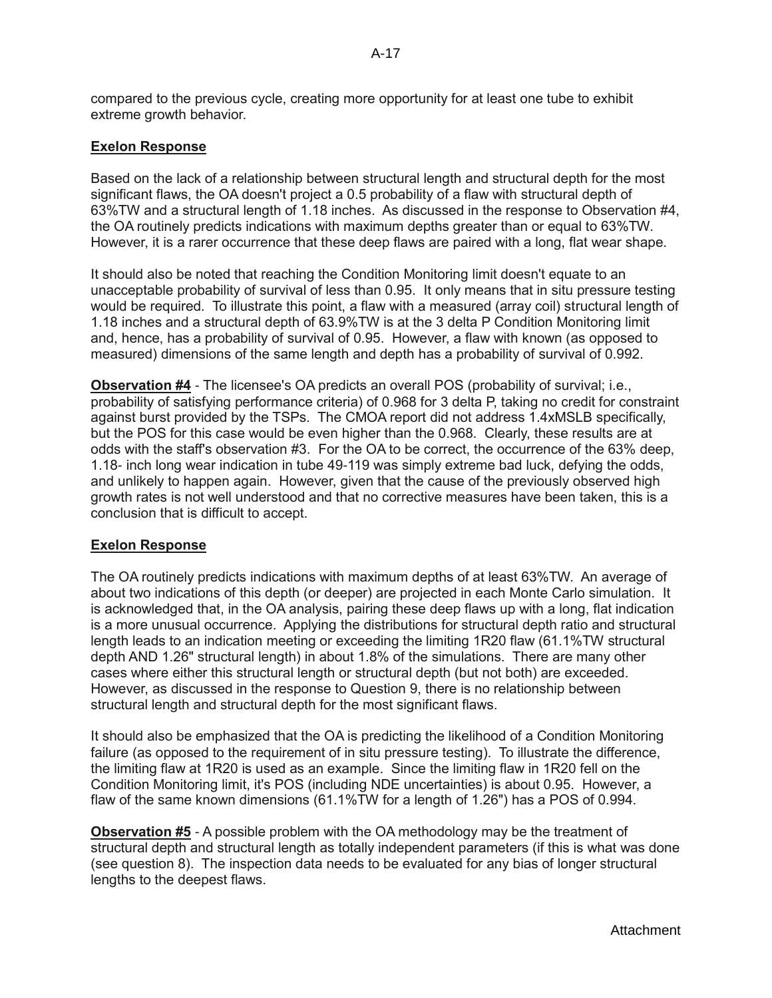compared to the previous cycle, creating more opportunity for at least one tube to exhibit extreme growth behavior.

## **Exelon Response**

Based on the lack of a relationship between structural length and structural depth for the most significant flaws, the OA doesn't project a 0.5 probability of a flaw with structural depth of 63%TW and a structural length of 1.18 inches. As discussed in the response to Observation #4, the OA routinely predicts indications with maximum depths greater than or equal to 63%TW. However, it is a rarer occurrence that these deep flaws are paired with a long, flat wear shape.

It should also be noted that reaching the Condition Monitoring limit doesn't equate to an unacceptable probability of survival of less than 0.95. It only means that in situ pressure testing would be required. To illustrate this point, a flaw with a measured (array coil) structural length of 1.18 inches and a structural depth of 63.9%TW is at the 3 delta P Condition Monitoring limit and, hence, has a probability of survival of 0.95. However, a flaw with known (as opposed to measured) dimensions of the same length and depth has a probability of survival of 0.992.

**Observation #4** - The licensee's OA predicts an overall POS (probability of survival; i.e., probability of satisfying performance criteria) of 0.968 for 3 delta P, taking no credit for constraint against burst provided by the TSPs. The CMOA report did not address 1.4xMSLB specifically, but the POS for this case would be even higher than the 0.968. Clearly, these results are at odds with the staff's observation #3. For the OA to be correct, the occurrence of the 63% deep, 1.18- inch long wear indication in tube 49-119 was simply extreme bad luck, defying the odds, and unlikely to happen again. However, given that the cause of the previously observed high growth rates is not well understood and that no corrective measures have been taken, this is a conclusion that is difficult to accept.

### **Exelon Response**

The OA routinely predicts indications with maximum depths of at least 63%TW. An average of about two indications of this depth (or deeper) are projected in each Monte Carlo simulation. It is acknowledged that, in the OA analysis, pairing these deep flaws up with a long, flat indication is a more unusual occurrence. Applying the distributions for structural depth ratio and structural length leads to an indication meeting or exceeding the limiting 1R20 flaw (61.1%TW structural depth AND 1.26" structural length) in about 1.8% of the simulations. There are many other cases where either this structural length or structural depth (but not both) are exceeded. However, as discussed in the response to Question 9, there is no relationship between structural length and structural depth for the most significant flaws.

It should also be emphasized that the OA is predicting the likelihood of a Condition Monitoring failure (as opposed to the requirement of in situ pressure testing). To illustrate the difference, the limiting flaw at 1R20 is used as an example. Since the limiting flaw in 1R20 fell on the Condition Monitoring limit, it's POS (including NDE uncertainties) is about 0.95. However, a flaw of the same known dimensions (61.1%TW for a length of 1.26") has a POS of 0.994.

**Observation #5** - A possible problem with the OA methodology may be the treatment of structural depth and structural length as totally independent parameters (if this is what was done (see question 8). The inspection data needs to be evaluated for any bias of longer structural lengths to the deepest flaws.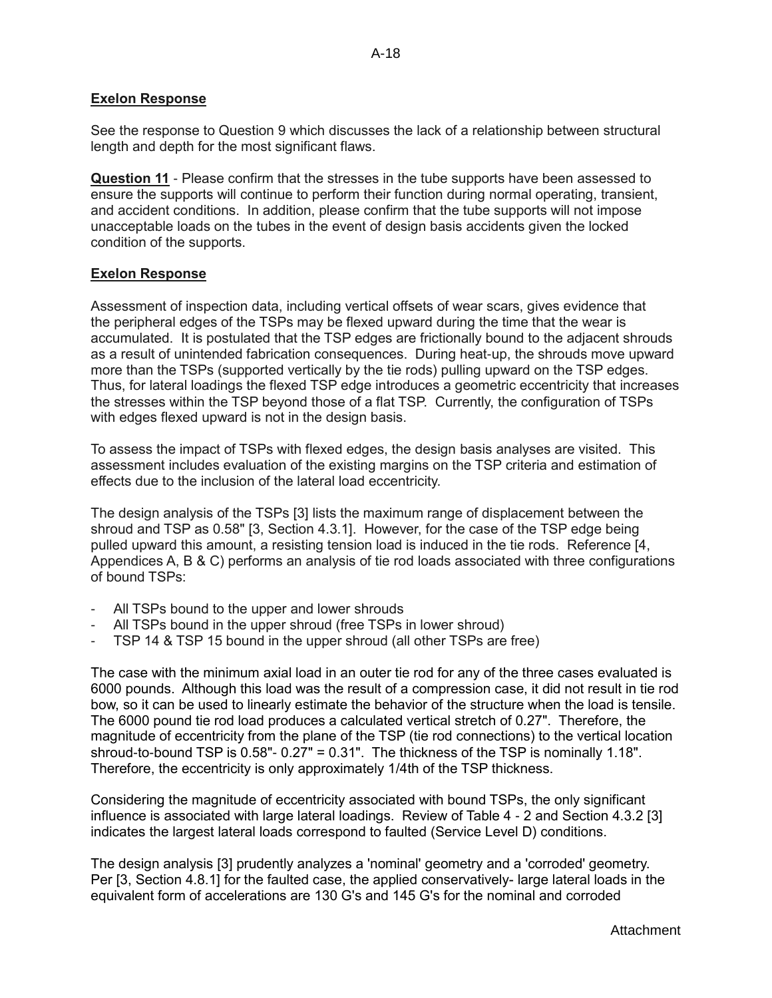## **Exelon Response**

See the response to Question 9 which discusses the lack of a relationship between structural length and depth for the most significant flaws.

**Question 11** - Please confirm that the stresses in the tube supports have been assessed to ensure the supports will continue to perform their function during normal operating, transient, and accident conditions. In addition, please confirm that the tube supports will not impose unacceptable loads on the tubes in the event of design basis accidents given the locked condition of the supports.

## **Exelon Response**

Assessment of inspection data, including vertical offsets of wear scars, gives evidence that the peripheral edges of the TSPs may be flexed upward during the time that the wear is accumulated. It is postulated that the TSP edges are frictionally bound to the adjacent shrouds as a result of unintended fabrication consequences. During heat-up, the shrouds move upward more than the TSPs (supported vertically by the tie rods) pulling upward on the TSP edges. Thus, for lateral loadings the flexed TSP edge introduces a geometric eccentricity that increases the stresses within the TSP beyond those of a flat TSP. Currently, the configuration of TSPs with edges flexed upward is not in the design basis.

To assess the impact of TSPs with flexed edges, the design basis analyses are visited. This assessment includes evaluation of the existing margins on the TSP criteria and estimation of effects due to the inclusion of the lateral load eccentricity.

The design analysis of the TSPs [3] lists the maximum range of displacement between the shroud and TSP as 0.58" [3, Section 4.3.1]. However, for the case of the TSP edge being pulled upward this amount, a resisting tension load is induced in the tie rods. Reference [4, Appendices A, B & C) performs an analysis of tie rod loads associated with three configurations of bound TSPs:

- All TSPs bound to the upper and lower shrouds
- All TSPs bound in the upper shroud (free TSPs in lower shroud)
- TSP 14 & TSP 15 bound in the upper shroud (all other TSPs are free)

The case with the minimum axial load in an outer tie rod for any of the three cases evaluated is 6000 pounds. Although this load was the result of a compression case, it did not result in tie rod bow, so it can be used to linearly estimate the behavior of the structure when the load is tensile. The 6000 pound tie rod load produces a calculated vertical stretch of 0.27". Therefore, the magnitude of eccentricity from the plane of the TSP (tie rod connections) to the vertical location shroud-to-bound TSP is  $0.58"$ -  $0.27"$  =  $0.31"$ . The thickness of the TSP is nominally 1.18". Therefore, the eccentricity is only approximately 1/4th of the TSP thickness.

Considering the magnitude of eccentricity associated with bound TSPs, the only significant influence is associated with large lateral loadings. Review of Table 4 - 2 and Section 4.3.2 [3] indicates the largest lateral loads correspond to faulted (Service Level D) conditions.

The design analysis [3] prudently analyzes a 'nominal' geometry and a 'corroded' geometry. Per [3, Section 4.8.1] for the faulted case, the applied conservatively- large lateral loads in the equivalent form of accelerations are 130 G's and 145 G's for the nominal and corroded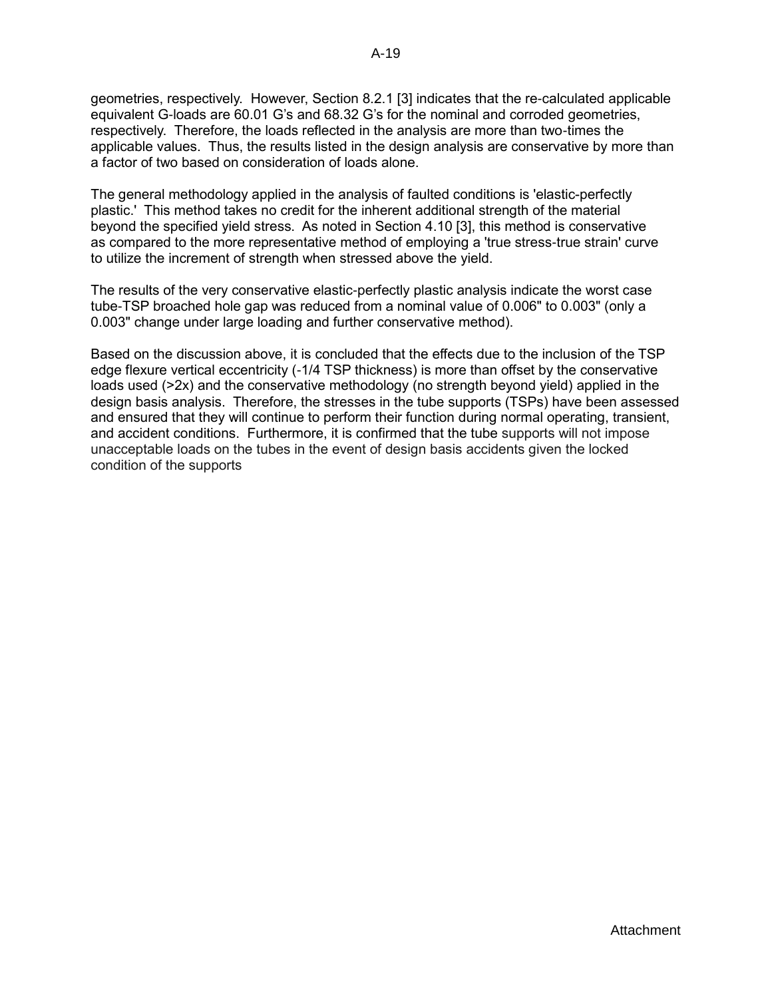geometries, respectively. However, Section 8.2.1 [3] indicates that the re-calculated applicable equivalent G-loads are 60.01 G's and 68.32 G's for the nominal and corroded geometries, respectively. Therefore, the loads reflected in the analysis are more than two-times the applicable values. Thus, the results listed in the design analysis are conservative by more than a factor of two based on consideration of loads alone.

The general methodology applied in the analysis of faulted conditions is 'elastic-perfectly plastic.' This method takes no credit for the inherent additional strength of the material beyond the specified yield stress. As noted in Section 4.10 [3], this method is conservative as compared to the more representative method of employing a 'true stress-true strain' curve to utilize the increment of strength when stressed above the yield.

The results of the very conservative elastic-perfectly plastic analysis indicate the worst case tube-TSP broached hole gap was reduced from a nominal value of 0.006" to 0.003" (only a 0.003" change under large loading and further conservative method).

Based on the discussion above, it is concluded that the effects due to the inclusion of the TSP edge flexure vertical eccentricity (-1/4 TSP thickness) is more than offset by the conservative loads used (>2x) and the conservative methodology (no strength beyond yield) applied in the design basis analysis. Therefore, the stresses in the tube supports (TSPs) have been assessed and ensured that they will continue to perform their function during normal operating, transient, and accident conditions. Furthermore, it is confirmed that the tube supports will not impose unacceptable loads on the tubes in the event of design basis accidents given the locked condition of the supports